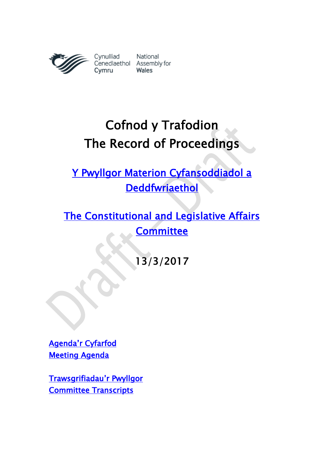

Cynulliad National<br>Cenedlaethol Assembly for Wales

# Cofnod y Trafodion The Record of Proceedings

[Y Pwyllgor Materion Cyfansoddiadol a](http://www.senedd.cynulliad.cymru/mgCommitteeDetails.aspx?ID=434)  **Deddfwriaethol** 

[The Constitutional and Legislative Affairs](http://www.senedd.assembly.wales/mgCommitteeDetails.aspx?ID=434)  **Committee** 

13/3/2017

Agenda'[r Cyfarfod](http://www.senedd.cynulliad.cymru/ieListDocuments.aspx?CId=434&MId=3899&Ver=4)  [Meeting Agenda](http://www.senedd.assembly.wales/ieListDocuments.aspx?CId=434&MId=3899&Ver=4) 

[Trawsgrifiadau](http://www.senedd.cynulliad.cymru/mgIssueHistoryHome.aspx?IId=15034)'r Pwyllgor [Committee Transcripts](http://www.senedd.assembly.wales/mgIssueHistoryHome.aspx?IId=15034)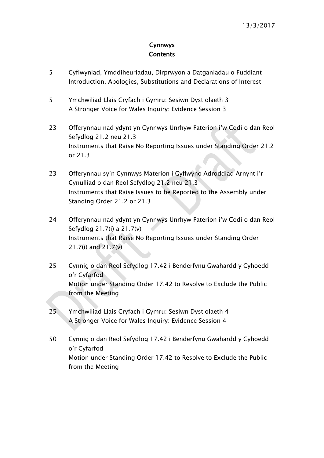### Cynnwys **Contents**

- [5](#page-4-0) [Cyflwyniad, Ymddiheuriadau, Dirprwyon a Datganiadau o Fuddiant](#page-4-0) [Introduction, Apologies, Substitutions and Declarations of Interest](#page-4-0)
- 5 [Ymchwiliad Llais Cryfach i Gymru: Sesiwn Dystiolaeth 3](#page-4-1) [A Stronger Voice for Wales Inquiry: Evidence Session 3](#page-4-1)
- 23 [Offerynnau nad ydynt yn Cynnwys Unrhyw Faterion i](#page-22-0)'w Codi o dan Reol [Sefydlog 21.2 neu 21.3](#page-22-0) [Instruments that Raise No Reporting Issues under Standing Order 21.2](#page-22-0)  [or 21.3](#page-22-0)
- 23 Offerynnau sy'[n Cynnwys Materion i Gyflwyno Adroddiad Arnynt i](#page-22-1)'r [Cynulliad o dan Reol Sefydlog 21.2 neu 21.3](#page-22-1) [Instruments that Raise Issues to be Reported to the Assembly under](#page-22-1)  [Standing Order 21.2 or 21.3](#page-22-1)
- 24 [Offerynnau nad ydynt yn Cynnwys Unrhyw Faterion i](#page-23-0)'w Codi o dan Reol [Sefydlog 21.7\(i\) a 21.7\(v\)](#page-23-0) [Instruments that Raise No Reporting Issues under Standing Order](#page-23-0)  [21.7\(i\) and 21.7\(v\)](#page-23-0)
- 25 [Cynnig o dan Reol Sefydlog 17.42 i Benderfynu Gwahardd y Cyhoedd](#page-24-0)  o'[r Cyfarfod](#page-24-0) [Motion under Standing Order 17.42 to Resolve to Exclude the Public](#page-24-0)  [from the Meeting](#page-24-0)
- 25 [Ymchwiliad Llais Cryfach i Gymru: Sesiwn Dystiolaeth 4](#page-24-1) [A Stronger Voice for Wales Inquiry: Evidence Session 4](#page-24-1)
- 50 [Cynnig o dan Reol Sefydlog 17.42 i Benderfynu Gwahardd y Cyhoedd](#page-49-0)  o'[r Cyfarfod](#page-49-0) [Motion under Standing Order 17.42 to Resolve to Exclude the Public](#page-49-0)  [from the Meeting](#page-49-0)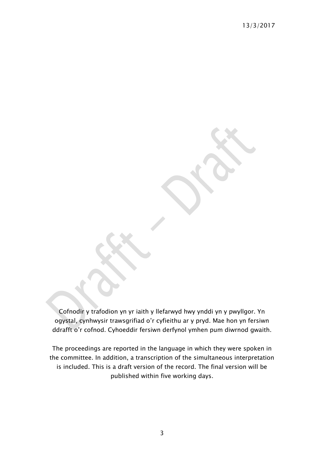Cofnodir y trafodion yn yr iaith y llefarwyd hwy ynddi yn y pwyllgor. Yn ogystal, cynhwysir trawsgrifiad o'r cyfieithu ar y pryd. Mae hon yn fersiwn ddrafft o'r cofnod. Cyhoeddir fersiwn derfynol ymhen pum diwrnod gwaith.

The proceedings are reported in the language in which they were spoken in the committee. In addition, a transcription of the simultaneous interpretation is included. This is a draft version of the record. The final version will be published within five working days.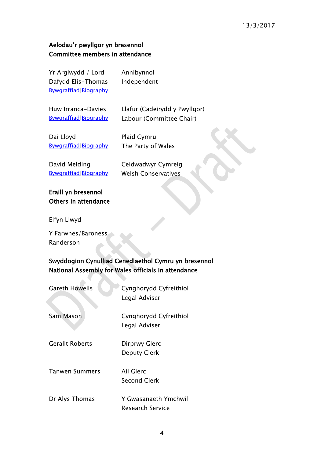### 13/3/2017

### Aelodau'r pwyllgor yn bresennol Committee members in attendance

Yr Arglwydd / Lord Dafydd Elis-Thomas [Bywgraffiad|](http://www.senedd.cynulliad.cymru/mgUserInfo.aspx?UID=146)[Biography](http://www.senedd.assembly.wales/mgUserInfo.aspx?UID=146)

Huw Irranca-Davies [Bywgraffiad|](http://www.senedd.cynulliad.cymru/mgUserInfo.aspx?UID=5053)[Biography](http://www.senedd.assembly.wales/mgUserInfo.aspx?UID=5053) Llafur (Cadeirydd y Pwyllgor) Labour (Committee Chair)

Dai Lloyd [Bywgraffiad|](http://www.senedd.cynulliad.cymru/mgUserInfo.aspx?UID=167)[Biography](http://www.senedd.assembly.wales/mgUserInfo.aspx?UID=167) Plaid Cymru The Party of Wales

Annibynnol Independent

David Melding [Bywgraffiad|](http://www.senedd.cynulliad.cymru/mgUserInfo.aspx?UID=169)[Biography](http://www.senedd.assembly.wales/mgUserInfo.aspx?UID=169) Ceidwadwyr Cymreig Welsh Conservatives

### Eraill yn bresennol Others in attendance

Elfyn Llwyd

Y Farwnes/Baroness Randerson

 $\Delta$ 

### Swyddogion Cynulliad Cenedlaethol Cymru yn bresennol National Assembly for Wales officials in attendance

**The Contract State** 

| <b>Gareth Howells</b>  | Cynghorydd Cyfreithiol<br>Legal Adviser         |
|------------------------|-------------------------------------------------|
| Sam Mason              | Cynghorydd Cyfreithiol<br>Legal Adviser         |
| <b>Gerallt Roberts</b> | Dirprwy Glerc<br><b>Deputy Clerk</b>            |
| <b>Tanwen Summers</b>  | Ail Glerc<br>Second Clerk                       |
| Dr Alys Thomas         | Y Gwasanaeth Ymchwil<br><b>Research Service</b> |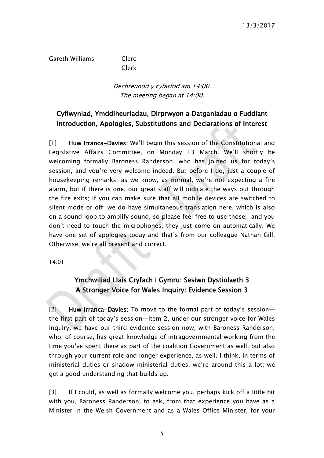Gareth Williams Clerc

Clerk

### Dechreuodd y cyfarfod am 14:00. The meeting began at 14:00.

### <span id="page-4-0"></span>Cyflwyniad, Ymddiheuriadau, Dirprwyon a Datganiadau o Fuddiant Introduction, Apologies, Substitutions and Declarations of Interest

[1] Huw Irranca-Davies: We'll begin this session of the Constitutional and Legislative Affairs Committee, on Monday 13 March. We'll shortly be welcoming formally Baroness Randerson, who has joined us for today's session, and you're very welcome indeed. But before I do, just a couple of housekeeping remarks: as we know, as normal, we're not expecting a fire alarm, but if there is one, our great staff will indicate the ways out through the fire exits; if you can make sure that all mobile devices are switched to silent mode or off; we do have simultaneous translation here, which is also on a sound loop to amplify sound, so please feel free to use those; and you don't need to touch the microphones, they just come on automatically. We have one set of apologies today and that's from our colleague Nathan Gill. Otherwise, we're all present and correct.

<span id="page-4-1"></span>14:01

### Ymchwiliad Llais Cryfach i Gymru: Sesiwn Dystiolaeth 3 A Stronger Voice for Wales Inquiry: Evidence Session 3

[2] Huw Irranca-Davies: To move to the formal part of today's session the first part of today's session—item 2, under our stronger voice for Wales inquiry, we have our third evidence session now, with Baroness Randerson, who, of course, has great knowledge of intragovernmental working from the time you've spent there as part of the coalition Government as well, but also through your current role and longer experience, as well. I think, in terms of ministerial duties or shadow ministerial duties, we're around this a lot; we get a good understanding that builds up.

[3] If I could, as well as formally welcome you, perhaps kick off a little bit with you, Baroness Randerson, to ask, from that experience you have as a Minister in the Welsh Government and as a Wales Office Minister, for your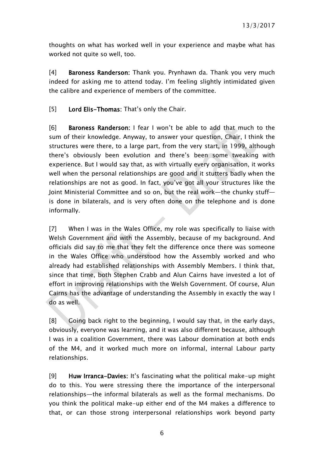thoughts on what has worked well in your experience and maybe what has worked not quite so well, too.

[4] Baroness Randerson: Thank you. Prynhawn da. Thank you very much indeed for asking me to attend today. I'm feeling slightly intimidated given the calibre and experience of members of the committee.

[5] Lord Elis-Thomas: That's only the Chair.

[6] Baroness Randerson: I fear I won't be able to add that much to the sum of their knowledge. Anyway, to answer your question, Chair, I think the structures were there, to a large part, from the very start, in 1999, although there's obviously been evolution and there's been some tweaking with experience. But I would say that, as with virtually every organisation, it works well when the personal relationships are good and it stutters badly when the relationships are not as good. In fact, you've got all your structures like the Joint Ministerial Committee and so on, but the real work—the chunky stuff is done in bilaterals, and is very often done on the telephone and is done informally.

[7] When I was in the Wales Office, my role was specifically to liaise with Welsh Government and with the Assembly, because of my background. And officials did say to me that they felt the difference once there was someone in the Wales Office who understood how the Assembly worked and who already had established relationships with Assembly Members. I think that, since that time, both Stephen Crabb and Alun Cairns have invested a lot of effort in improving relationships with the Welsh Government. Of course, Alun Cairns has the advantage of understanding the Assembly in exactly the way I do as well.

[8] Going back right to the beginning, I would say that, in the early days, obviously, everyone was learning, and it was also different because, although I was in a coalition Government, there was Labour domination at both ends of the M4, and it worked much more on informal, internal Labour party relationships.

[9] Huw Irranca-Davies: It's fascinating what the political make-up might do to this. You were stressing there the importance of the interpersonal relationships—the informal bilaterals as well as the formal mechanisms. Do you think the political make-up either end of the M4 makes a difference to that, or can those strong interpersonal relationships work beyond party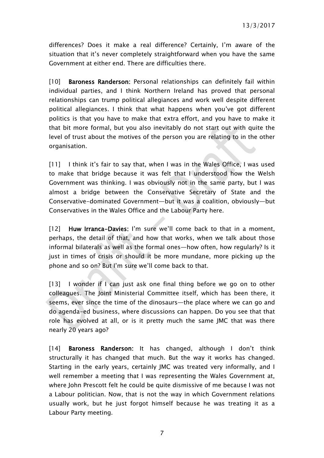differences? Does it make a real difference? Certainly, I'm aware of the situation that it's never completely straightforward when you have the same Government at either end. There are difficulties there.

[10] **Baroness Randerson:** Personal relationships can definitely fail within individual parties, and I think Northern Ireland has proved that personal relationships can trump political allegiances and work well despite different political allegiances. I think that what happens when you've got different politics is that you have to make that extra effort, and you have to make it that bit more formal, but you also inevitably do not start out with quite the level of trust about the motives of the person you are relating to in the other organisation.

[11] I think it's fair to say that, when I was in the Wales Office, I was used to make that bridge because it was felt that I understood how the Welsh Government was thinking. I was obviously not in the same party, but I was almost a bridge between the Conservative Secretary of State and the Conservative-dominated Government—but it was a coalition, obviously—but Conservatives in the Wales Office and the Labour Party here.

[12] Huw Irranca-Davies: I'm sure we'll come back to that in a moment, perhaps, the detail of that, and how that works, when we talk about those informal bilaterals as well as the formal ones—how often, how regularly? Is it just in times of crisis or should it be more mundane, more picking up the phone and so on? But I'm sure we'll come back to that.

[13] I wonder if I can just ask one final thing before we go on to other colleagues. The Joint Ministerial Committee itself, which has been there, it seems, ever since the time of the dinosaurs—the place where we can go and do agenda-ed business, where discussions can happen. Do you see that that role has evolved at all, or is it pretty much the same JMC that was there nearly 20 years ago?

[14] Baroness Randerson: It has changed, although I don't think structurally it has changed that much. But the way it works has changed. Starting in the early years, certainly JMC was treated very informally, and I well remember a meeting that I was representing the Wales Government at, where John Prescott felt he could be quite dismissive of me because I was not a Labour politician. Now, that is not the way in which Government relations usually work, but he just forgot himself because he was treating it as a Labour Party meeting.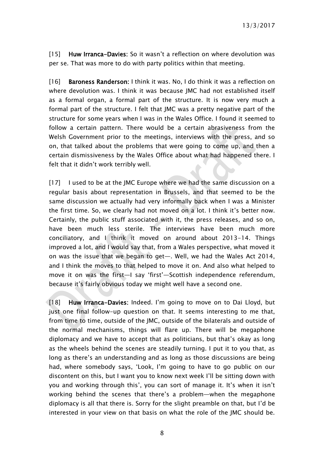[15] Huw Irranca-Davies: So it wasn't a reflection on where devolution was per se. That was more to do with party politics within that meeting.

[16] Baroness Randerson: I think it was. No, I do think it was a reflection on where devolution was. I think it was because JMC had not established itself as a formal organ, a formal part of the structure. It is now very much a formal part of the structure. I felt that JMC was a pretty negative part of the structure for some years when I was in the Wales Office. I found it seemed to follow a certain pattern. There would be a certain abrasiveness from the Welsh Government prior to the meetings, interviews with the press, and so on, that talked about the problems that were going to come up, and then a certain dismissiveness by the Wales Office about what had happened there. I felt that it didn't work terribly well.

[17] I used to be at the JMC Europe where we had the same discussion on a regular basis about representation in Brussels, and that seemed to be the same discussion we actually had very informally back when I was a Minister the first time. So, we clearly had not moved on a lot. I think it's better now. Certainly, the public stuff associated with it, the press releases, and so on, have been much less sterile. The interviews have been much more conciliatory, and I think it moved on around about 2013-14. Things improved a lot, and I would say that, from a Wales perspective, what moved it on was the issue that we began to get—. Well, we had the Wales Act 2014, and I think the moves to that helped to move it on. And also what helped to move it on was the first—I say 'first'—Scottish independence referendum, because it's fairly obvious today we might well have a second one.

[18] Huw Irranca-Davies: Indeed. I'm going to move on to Dai Lloyd, but just one final follow-up question on that. It seems interesting to me that, from time to time, outside of the JMC, outside of the bilaterals and outside of the normal mechanisms, things will flare up. There will be megaphone diplomacy and we have to accept that as politicians, but that's okay as long as the wheels behind the scenes are steadily turning. I put it to you that, as long as there's an understanding and as long as those discussions are being had, where somebody says, 'Look, I'm going to have to go public on our discontent on this, but I want you to know next week I'll be sitting down with you and working through this', you can sort of manage it. It's when it isn't working behind the scenes that there's a problem—when the megaphone diplomacy is all that there is. Sorry for the slight preamble on that, but I'd be interested in your view on that basis on what the role of the JMC should be.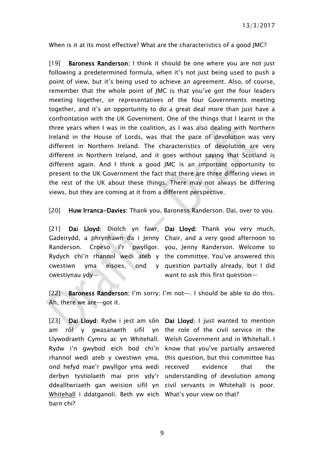When is it at its most effective? What are the characteristics of a good JMC?

[19] **Baroness Randerson:** I think it should be one where you are not just following a predetermined formula, when it's not just being used to push a point of view, but it's being used to achieve an agreement. Also, of course, remember that the whole point of JMC is that you've got the four leaders meeting together, or representatives of the four Governments meeting together, and it's an opportunity to do a great deal more than just have a confrontation with the UK Government. One of the things that I learnt in the three years when I was in the coalition, as I was also dealing with Northern Ireland in the House of Lords, was that the pace of devolution was very different in Northern Ireland. The characteristics of devolution are very different in Northern Ireland, and it goes without saying that Scotland is different again. And I think a good JMC is an important opportunity to present to the UK Government the fact that there are three differing views in the rest of the UK about these things. There may not always be differing views, but they are coming at it from a different perspective.

[20] Huw Irranca-Davies: Thank you, Baroness Randerson. Dai, over to you.

cwestiwn yma eisoes, ond cwestiynau ydy—

[21] Dai Lloyd: Diolch yn fawr, Dai Lloyd: Thank you very much, Gadeirydd, a phrynhawn da i Jenny Chair, and a very good afternoon to Randerson. Croeso i'r pwyllgor. you, Jenny Randerson. Welcome to Rydych chi'n rhannol wedi ateb y the committee. You've answered this question partially already, but I did want to ask this first question—

[22] Baroness Randerson: I'm sorry; I'm not-. I should be able to do this. Ah, there we are—got it.

[23] Dai Lloyd: Rydw i jest am sôn Dai Lloyd: I just wanted to mention am rôl y gwasanaeth sifil yn the role of the civil service in the Llywodraeth Cymru ac yn Whitehall. Welsh Government and in Whitehall. I Rydw i'n gwybod eich bod chi'n know that you've partially answered rhannol wedi ateb y cwestiwn yma, this question, but this committee has ond hefyd mae'r pwyllgor yma wedi received evidence that the derbyn tystiolaeth mai prin ydy'r understanding of devolution among ddealltwriaeth gan weision sifil yn civil servants in Whitehall is poor. Whitehall i ddatganoli. Beth yw eich What's your view on that? barn chi?

9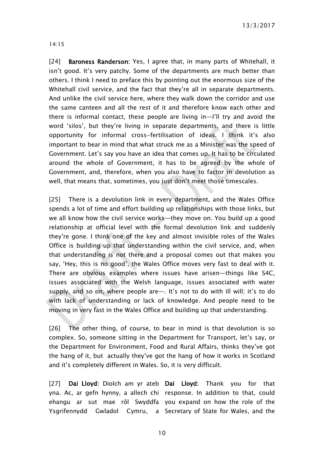13/3/2017

14:15

[24] **Baroness Randerson:** Yes, I agree that, in many parts of Whitehall, it isn't good. It's very patchy. Some of the departments are much better than others. I think I need to preface this by pointing out the enormous size of the Whitehall civil service, and the fact that they're all in separate departments. And unlike the civil service here, where they walk down the corridor and use the same canteen and all the rest of it and therefore know each other and there is informal contact, these people are living in—I'll try and avoid the word 'silos', but they're living in separate departments, and there is little opportunity for informal cross-fertilisation of ideas. I think it's also important to bear in mind that what struck me as a Minister was the speed of Government. Let's say you have an idea that comes up. It has to be circulated around the whole of Government, it has to be agreed by the whole of Government, and, therefore, when you also have to factor in devolution as well, that means that, sometimes, you just don't meet those timescales.

[25] There is a devolution link in every department, and the Wales Office spends a lot of time and effort building up relationships with those links, but we all know how the civil service works—they move on. You build up a good relationship at official level with the formal devolution link and suddenly they're gone. I think one of the key and almost invisible roles of the Wales Office is building up that understanding within the civil service, and, when that understanding is not there and a proposal comes out that makes you say, 'Hey, this is no good', the Wales Office moves very fast to deal with it. There are obvious examples where issues have arisen—things like S4C, issues associated with the Welsh language, issues associated with water supply, and so on, where people are—. It's not to do with ill will; it's to do with lack of understanding or lack of knowledge. And people need to be moving in very fast in the Wales Office and building up that understanding.

[26] The other thing, of course, to bear in mind is that devolution is so complex. So, someone sitting in the Department for Transport, let's say, or the Department for Environment, Food and Rural Affairs, thinks they've got the hang of it, but actually they've got the hang of how it works in Scotland and it's completely different in Wales. So, it is very difficult.

[27] Dai Lloyd: Diolch am yr ateb Dai Lloyd: Thank you for that yna. Ac, ar gefn hynny, a allech chi response. In addition to that, could ehangu ar sut mae rôl Swyddfa you expand on how the role of the Ysgrifennydd Gwladol Cymru, a Secretary of State for Wales, and the

10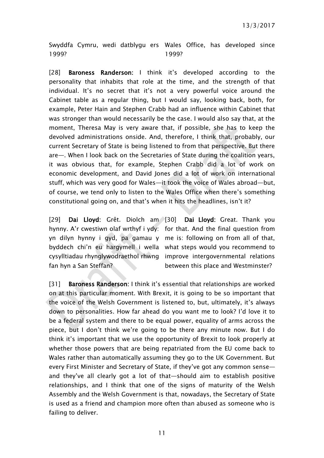Swyddfa Cymru, wedi datblygu ers Wales Office, has developed since 1999? 1999?

[28] **Baroness Randerson:** I think it's developed according to the personality that inhabits that role at the time, and the strength of that individual. It's no secret that it's not a very powerful voice around the Cabinet table as a regular thing, but I would say, looking back, both, for example, Peter Hain and Stephen Crabb had an influence within Cabinet that was stronger than would necessarily be the case. I would also say that, at the moment, Theresa May is very aware that, if possible, she has to keep the devolved administrations onside. And, therefore, I think that, probably, our current Secretary of State is being listened to from that perspective. But there are—. When I look back on the Secretaries of State during the coalition years, it was obvious that, for example, Stephen Crabb did a lot of work on economic development, and David Jones did a lot of work on international stuff, which was very good for Wales—it took the voice of Wales abroad—but, of course, we tend only to listen to the Wales Office when there's something constitutional going on, and that's when it hits the headlines, isn't it?

[29] Dai Lloyd: Grêt. Diolch am [30] Dai Lloyd: Great. Thank you hynny. A'r cwestiwn olaf wrthyf i ydy: for that. And the final question from yn dilyn hynny i gyd, pa gamau y me is: following on from all of that, byddech chi'n eu hargymell i wella what steps would you recommend to cysylltiadau rhynglywodraethol rhwng improve intergovernmental relations fan hyn a San Steffan? between this place and Westminster?

[31] Baroness Randerson: I think it's essential that relationships are worked on at this particular moment. With Brexit, it is going to be so important that the voice of the Welsh Government is listened to, but, ultimately, it's always down to personalities. How far ahead do you want me to look? I'd love it to be a federal system and there to be equal power, equality of arms across the piece, but I don't think we're going to be there any minute now. But I do think it's important that we use the opportunity of Brexit to look properly at whether those powers that are being repatriated from the EU come back to Wales rather than automatically assuming they go to the UK Government. But every First Minister and Secretary of State, if they've got any common sense and they've all clearly got a lot of that—should aim to establish positive relationships, and I think that one of the signs of maturity of the Welsh Assembly and the Welsh Government is that, nowadays, the Secretary of State is used as a friend and champion more often than abused as someone who is failing to deliver.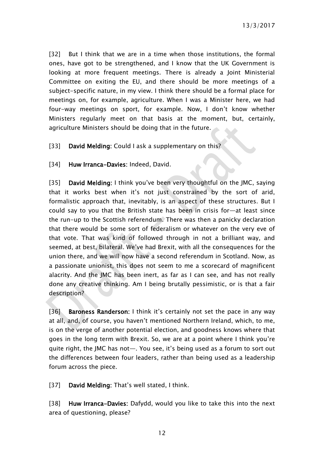[32] But I think that we are in a time when those institutions, the formal ones, have got to be strengthened, and I know that the UK Government is looking at more frequent meetings. There is already a Joint Ministerial Committee on exiting the EU, and there should be more meetings of a subject-specific nature, in my view. I think there should be a formal place for meetings on, for example, agriculture. When I was a Minister here, we had four-way meetings on sport, for example. Now, I don't know whether Ministers regularly meet on that basis at the moment, but, certainly, agriculture Ministers should be doing that in the future.

[33] David Melding: Could I ask a supplementary on this?

### [34] Huw Irranca-Davies: Indeed, David.

[35] David Melding: I think you've been very thoughtful on the JMC, saying that it works best when it's not just constrained by the sort of arid, formalistic approach that, inevitably, is an aspect of these structures. But I could say to you that the British state has been in crisis for—at least since the run-up to the Scottish referendum. There was then a panicky declaration that there would be some sort of federalism or whatever on the very eve of that vote. That was kind of followed through in not a brilliant way, and seemed, at best, bilateral. We've had Brexit, with all the consequences for the union there, and we will now have a second referendum in Scotland. Now, as a passionate unionist, this does not seem to me a scorecard of magnificent alacrity. And the JMC has been inert, as far as I can see, and has not really done any creative thinking. Am I being brutally pessimistic, or is that a fair description?

[36] Baroness Randerson: I think it's certainly not set the pace in any way at all, and, of course, you haven't mentioned Northern Ireland, which, to me, is on the verge of another potential election, and goodness knows where that goes in the long term with Brexit. So, we are at a point where I think you're quite right, the JMC has not—. You see, it's being used as a forum to sort out the differences between four leaders, rather than being used as a leadership forum across the piece.

[37] David Melding: That's well stated, I think.

[38] Huw Irranca-Davies: Dafydd, would you like to take this into the next area of questioning, please?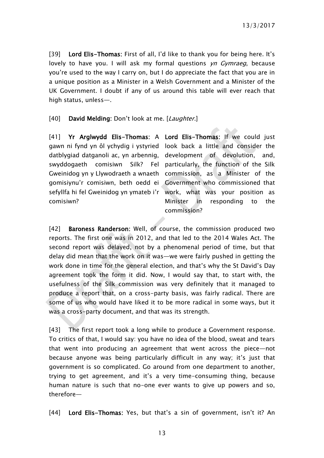13/3/2017

[39] Lord Elis-Thomas: First of all, I'd like to thank you for being here. It's lovely to have you. I will ask my formal questions  $yn Gymraeg$ , because you're used to the way I carry on, but I do appreciate the fact that you are in a unique position as a Minister in a Welsh Government and a Minister of the UK Government. I doubt if any of us around this table will ever reach that high status, unless—.

[40] David Melding: Don't look at me. [Laughter.]

[41] Yr Arglwydd Elis-Thomas: A Lord Elis-Thomas: If we could just gawn ni fynd yn ôl ychydig i ystyried look back a little and consider the datblygiad datganoli ac, yn arbennig, development of devolution, and, swyddogaeth comisiwn Silk? Gweinidog yn y Llywodraeth a wnaeth commission, as a Minister of the gomisiynu'r comisiwn, beth oedd ei Government who commissioned that sefyllfa hi fel Gweinidog yn ymateb i'r work, what was your position as comisiwn?

Fel particularly, the function of the Silk Minister in responding to the commission?

[42] **Baroness Randerson:** Well, of course, the commission produced two reports. The first one was in 2012, and that led to the 2014 Wales Act. The second report was delayed, not by a phenomenal period of time, but that delay did mean that the work on it was—we were fairly pushed in getting the work done in time for the general election, and that's why the St David's Day agreement took the form it did. Now, I would say that, to start with, the usefulness of the Silk commission was very definitely that it managed to produce a report that, on a cross-party basis, was fairly radical. There are some of us who would have liked it to be more radical in some ways, but it was a cross-party document, and that was its strength.

[43] The first report took a long while to produce a Government response. To critics of that, I would say: you have no idea of the blood, sweat and tears that went into producing an agreement that went across the piece—not because anyone was being particularly difficult in any way; it's just that government is so complicated. Go around from one department to another, trying to get agreement, and it's a very time-consuming thing, because human nature is such that no-one ever wants to give up powers and so, therefore—

[44] Lord Elis-Thomas: Yes, but that's a sin of government, isn't it? An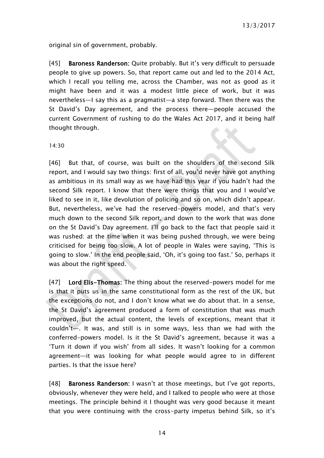original sin of government, probably.

[45] Baroness Randerson: Quite probably. But it's very difficult to persuade people to give up powers. So, that report came out and led to the 2014 Act, which I recall you telling me, across the Chamber, was not as good as it might have been and it was a modest little piece of work, but it was nevertheless—I say this as a pragmatist—a step forward. Then there was the St David's Day agreement, and the process there—people accused the current Government of rushing to do the Wales Act 2017, and it being half thought through.

14:30

[46] But that, of course, was built on the shoulders of the second Silk report, and I would say two things: first of all, you'd never have got anything as ambitious in its small way as we have had this year if you hadn't had the second Silk report. I know that there were things that you and I would've liked to see in it, like devolution of policing and so on, which didn't appear. But, nevertheless, we've had the reserved-powers model, and that's very much down to the second Silk report, and down to the work that was done on the St David's Day agreement. I'll go back to the fact that people said it was rushed: at the time when it was being pushed through, we were being criticised for being too slow. A lot of people in Wales were saying, 'This is going to slow.' In the end people said, 'Oh, it's going too fast.' So, perhaps it was about the right speed.

[47] Lord Elis-Thomas: The thing about the reserved-powers model for me is that it puts us in the same constitutional form as the rest of the UK, but the exceptions do not, and I don't know what we do about that. In a sense, the St David's agreement produced a form of constitution that was much improved, but the actual content, the levels of exceptions, meant that it couldn't—. It was, and still is in some ways, less than we had with the conferred-powers model. Is it the St David's agreement, because it was a 'Turn it down if you wish' from all sides. It wasn't looking for a common agreement—it was looking for what people would agree to in different parties. Is that the issue here?

[48] Baroness Randerson: I wasn't at those meetings, but I've got reports, obviously, whenever they were held, and I talked to people who were at those meetings. The principle behind it I thought was very good because it meant that you were continuing with the cross-party impetus behind Silk, so it's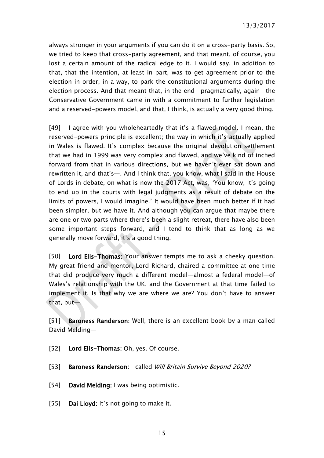always stronger in your arguments if you can do it on a cross-party basis. So, we tried to keep that cross-party agreement, and that meant, of course, you lost a certain amount of the radical edge to it. I would say, in addition to that, that the intention, at least in part, was to get agreement prior to the election in order, in a way, to park the constitutional arguments during the election process. And that meant that, in the end—pragmatically, again—the Conservative Government came in with a commitment to further legislation and a reserved-powers model, and that, I think, is actually a very good thing.

[49] I agree with you wholeheartedly that it's a flawed model. I mean, the reserved-powers principle is excellent; the way in which it's actually applied in Wales is flawed. It's complex because the original devolution settlement that we had in 1999 was very complex and flawed, and we've kind of inched forward from that in various directions, but we haven't ever sat down and rewritten it, and that's—. And I think that, you know, what I said in the House of Lords in debate, on what is now the 2017 Act, was, 'You know, it's going to end up in the courts with legal judgments as a result of debate on the limits of powers, I would imagine.' It would have been much better if it had been simpler, but we have it. And although you can argue that maybe there are one or two parts where there's been a slight retreat, there have also been some important steps forward, and I tend to think that as long as we generally move forward, it's a good thing.

[50] Lord Elis-Thomas: Your answer tempts me to ask a cheeky question. My great friend and mentor, Lord Richard, chaired a committee at one time that did produce very much a different model—almost a federal model—of Wales's relationship with the UK, and the Government at that time failed to implement it. Is that why we are where we are? You don't have to answer that, but—.

[51] Baroness Randerson: Well, there is an excellent book by a man called David Melding—

- [52] Lord Elis-Thomas: Oh, yes. Of course.
- [53] Baroness Randerson: called Will Britain Survive Beyond 2020?
- [54] David Melding: I was being optimistic.
- [55] Dai Lloyd: It's not going to make it.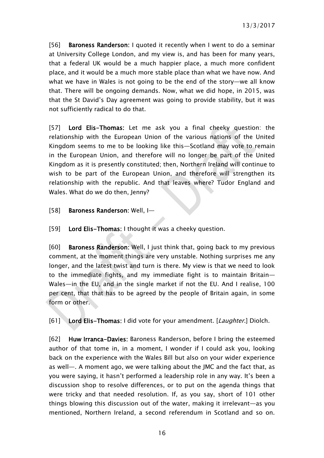[56] Baroness Randerson: I quoted it recently when I went to do a seminar at University College London, and my view is, and has been for many years, that a federal UK would be a much happier place, a much more confident place, and it would be a much more stable place than what we have now. And what we have in Wales is not going to be the end of the story—we all know that. There will be ongoing demands. Now, what we did hope, in 2015, was that the St David's Day agreement was going to provide stability, but it was not sufficiently radical to do that.

[57] Lord Elis-Thomas: Let me ask you a final cheeky question: the relationship with the European Union of the various nations of the United Kingdom seems to me to be looking like this—Scotland may vote to remain in the European Union, and therefore will no longer be part of the United Kingdom as it is presently constituted; then, Northern Ireland will continue to wish to be part of the European Union, and therefore will strengthen its relationship with the republic. And that leaves where? Tudor England and Wales. What do we do then, Jenny?

[58] Baroness Randerson: Well, I—

[59] Lord Elis-Thomas: I thought it was a cheeky question.

[60] Baroness Randerson: Well, I just think that, going back to my previous comment, at the moment things are very unstable. Nothing surprises me any longer, and the latest twist and turn is there. My view is that we need to look to the immediate fights, and my immediate fight is to maintain Britain— Wales—in the EU, and in the single market if not the EU. And I realise, 100 per cent, that that has to be agreed by the people of Britain again, in some form or other.

[61] Lord Elis-Thomas: I did vote for your amendment. [Laughter.] Diolch.

[62] Huw Irranca-Davies: Baroness Randerson, before I bring the esteemed author of that tome in, in a moment, I wonder if I could ask you, looking back on the experience with the Wales Bill but also on your wider experience as well—. A moment ago, we were talking about the JMC and the fact that, as you were saying, it hasn't performed a leadership role in any way. It's been a discussion shop to resolve differences, or to put on the agenda things that were tricky and that needed resolution. If, as you say, short of 101 other things blowing this discussion out of the water, making it irrelevant—as you mentioned, Northern Ireland, a second referendum in Scotland and so on.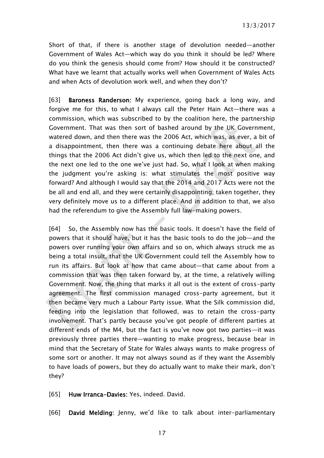Short of that, if there is another stage of devolution needed—another Government of Wales Act—which way do you think it should be led? Where do you think the genesis should come from? How should it be constructed? What have we learnt that actually works well when Government of Wales Acts and when Acts of devolution work well, and when they don't?

[63] Baroness Randerson: My experience, going back a long way, and forgive me for this, to what I always call the Peter Hain Act—there was a commission, which was subscribed to by the coalition here, the partnership Government. That was then sort of bashed around by the UK Government, watered down, and then there was the 2006 Act, which was, as ever, a bit of a disappointment, then there was a continuing debate here about all the things that the 2006 Act didn't give us, which then led to the next one, and the next one led to the one we've just had. So, what I look at when making the judgment you're asking is: what stimulates the most positive way forward? And although I would say that the 2014 and 2017 Acts were not the be all and end all, and they were certainly disappointing, taken together, they very definitely move us to a different place. And in addition to that, we also had the referendum to give the Assembly full law-making powers.

[64] So, the Assembly now has the basic tools. It doesn't have the field of powers that it should have, but it has the basic tools to do the job—and the powers over running your own affairs and so on, which always struck me as being a total insult, that the UK Government could tell the Assembly how to run its affairs. But look at how that came about—that came about from a commission that was then taken forward by, at the time, a relatively willing Government. Now, the thing that marks it all out is the extent of cross-party agreement. The first commission managed cross-party agreement, but it then became very much a Labour Party issue. What the Silk commission did, feeding into the legislation that followed, was to retain the cross-party involvement. That's partly because you've got people of different parties at different ends of the M4, but the fact is you've now got two parties—it was previously three parties there—wanting to make progress, because bear in mind that the Secretary of State for Wales always wants to make progress of some sort or another. It may not always sound as if they want the Assembly to have loads of powers, but they do actually want to make their mark, don't they?

[65] Huw Irranca-Davies: Yes, indeed. David.

[66] David Melding: Jenny, we'd like to talk about inter-parliamentary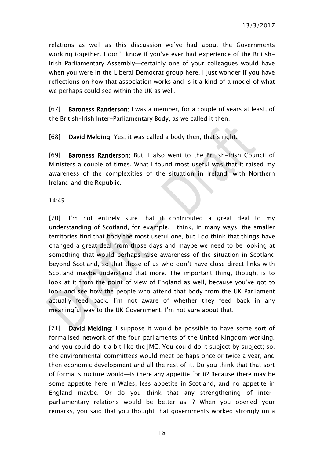relations as well as this discussion we've had about the Governments working together. I don't know if you've ever had experience of the British-Irish Parliamentary Assembly—certainly one of your colleagues would have when you were in the Liberal Democrat group here. I just wonder if you have reflections on how that association works and is it a kind of a model of what we perhaps could see within the UK as well.

[67] Baroness Randerson: I was a member, for a couple of years at least, of the British–Irish Inter-Parliamentary Body, as we called it then.

[68] David Melding: Yes, it was called a body then, that's right.

[69] Baroness Randerson: But, I also went to the British-Irish Council of Ministers a couple of times. What I found most useful was that it raised my awareness of the complexities of the situation in Ireland, with Northern Ireland and the Republic.

### 14:45

[70] I'm not entirely sure that it contributed a great deal to my understanding of Scotland, for example. I think, in many ways, the smaller territories find that body the most useful one, but I do think that things have changed a great deal from those days and maybe we need to be looking at something that would perhaps raise awareness of the situation in Scotland beyond Scotland, so that those of us who don't have close direct links with Scotland maybe understand that more. The important thing, though, is to look at it from the point of view of England as well, because you've got to look and see how the people who attend that body from the UK Parliament actually feed back. I'm not aware of whether they feed back in any meaningful way to the UK Government. I'm not sure about that.

[71] **David Melding:** I suppose it would be possible to have some sort of formalised network of the four parliaments of the United Kingdom working, and you could do it a bit like the JMC. You could do it subject by subject; so, the environmental committees would meet perhaps once or twice a year, and then economic development and all the rest of it. Do you think that that sort of formal structure would—is there any appetite for it? Because there may be some appetite here in Wales, less appetite in Scotland, and no appetite in England maybe. Or do you think that any strengthening of interparliamentary relations would be better as—? When you opened your remarks, you said that you thought that governments worked strongly on a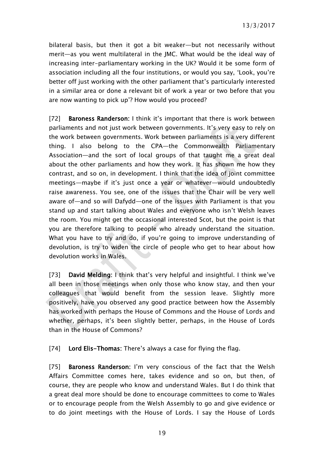bilateral basis, but then it got a bit weaker—but not necessarily without merit—as you went multilateral in the JMC. What would be the ideal way of increasing inter-parliamentary working in the UK? Would it be some form of association including all the four institutions, or would you say, 'Look, you're better off just working with the other parliament that's particularly interested in a similar area or done a relevant bit of work a year or two before that you are now wanting to pick up'? How would you proceed?

[72] Baroness Randerson: I think it's important that there is work between parliaments and not just work between governments. It's very easy to rely on the work between governments. Work between parliaments is a very different thing. I also belong to the CPA—the Commonwealth Parliamentary Association—and the sort of local groups of that taught me a great deal about the other parliaments and how they work. It has shown me how they contrast, and so on, in development. I think that the idea of joint committee meetings—maybe if it's just once a year or whatever—would undoubtedly raise awareness. You see, one of the issues that the Chair will be very well aware of—and so will Dafydd—one of the issues with Parliament is that you stand up and start talking about Wales and everyone who isn't Welsh leaves the room. You might get the occasional interested Scot, but the point is that you are therefore talking to people who already understand the situation. What you have to try and do, if you're going to improve understanding of devolution, is try to widen the circle of people who get to hear about how devolution works in Wales.

[73] David Melding: I think that's very helpful and insightful. I think we've all been in those meetings when only those who know stay, and then your colleagues that would benefit from the session leave. Slightly more positively, have you observed any good practice between how the Assembly has worked with perhaps the House of Commons and the House of Lords and whether, perhaps, it's been slightly better, perhaps, in the House of Lords than in the House of Commons?

[74] Lord Elis-Thomas: There's always a case for flying the flag.

[75] Baroness Randerson: I'm very conscious of the fact that the Welsh Affairs Committee comes here, takes evidence and so on, but then, of course, they are people who know and understand Wales. But I do think that a great deal more should be done to encourage committees to come to Wales or to encourage people from the Welsh Assembly to go and give evidence or to do joint meetings with the House of Lords. I say the House of Lords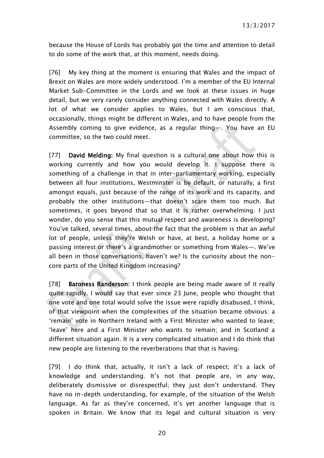because the House of Lords has probably got the time and attention to detail to do some of the work that, at this moment, needs doing.

[76] My key thing at the moment is ensuring that Wales and the impact of Brexit on Wales are more widely understood. I'm a member of the EU Internal Market Sub-Committee in the Lords and we look at these issues in huge detail, but we very rarely consider anything connected with Wales directly. A lot of what we consider applies to Wales, but I am conscious that, occasionally, things might be different in Wales, and to have people from the Assembly coming to give evidence, as a regular thing—. You have an EU committee, so the two could meet.

[77] David Melding: My final question is a cultural one about how this is working currently and how you would develop it. I suppose there is something of a challenge in that in inter-parliamentary working, especially between all four institutions, Westminster is by default, or naturally, a first amongst equals, just because of the range of its work and its capacity, and probably the other institutions—that doesn't scare them too much. But sometimes, it goes beyond that so that it is rather overwhelming. I just wonder, do you sense that this mutual respect and awareness is developing? You've talked, several times, about the fact that the problem is that an awful lot of people, unless they're Welsh or have, at best, a holiday home or a passing interest or there's a grandmother or something from Wales—. We've all been in those conversations, haven't we? Is the curiosity about the noncore parts of the United Kingdom increasing?

[78] Baroness Randerson: I think people are being made aware of it really quite rapidly. I would say that ever since 23 June, people who thought that one vote and one total would solve the issue were rapidly disabused, I think, of that viewpoint when the complexities of the situation became obvious: a 'remain' vote in Northern Ireland with a First Minister who wanted to leave; 'leave' here and a First Minister who wants to remain; and in Scotland a different situation again. It is a very complicated situation and I do think that new people are listening to the reverberations that that is having.

[79] I do think that, actually, it isn't a lack of respect; it's a lack of knowledge and understanding. It's not that people are, in any way, deliberately dismissive or disrespectful; they just don't understand. They have no in-depth understanding, for example, of the situation of the Welsh language. As far as they're concerned, it's yet another language that is spoken in Britain. We know that its legal and cultural situation is very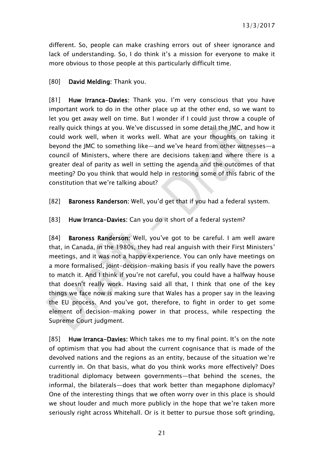different. So, people can make crashing errors out of sheer ignorance and lack of understanding. So, I do think it's a mission for everyone to make it more obvious to those people at this particularly difficult time.

### [80] **David Melding:** Thank you.

[81] Huw Irranca-Davies: Thank you. I'm very conscious that you have important work to do in the other place up at the other end, so we want to let you get away well on time. But I wonder if I could just throw a couple of really quick things at you. We've discussed in some detail the JMC, and how it could work well, when it works well. What are your thoughts on taking it beyond the JMC to something like—and we've heard from other witnesses—a council of Ministers, where there are decisions taken and where there is a greater deal of parity as well in setting the agenda and the outcomes of that meeting? Do you think that would help in restoring some of this fabric of the constitution that we're talking about?

[82] Baroness Randerson: Well, you'd get that if you had a federal system.

[83] Huw Irranca-Davies: Can you do it short of a federal system?

[84] Baroness Randerson: Well, you've got to be careful. I am well aware that, in Canada, in the 1980s, they had real anguish with their First Ministers' meetings, and it was not a happy experience. You can only have meetings on a more formalised, joint-decision-making basis if you really have the powers to match it. And I think if you're not careful, you could have a halfway house that doesn't really work. Having said all that, I think that one of the key things we face now is making sure that Wales has a proper say in the leaving the EU process. And you've got, therefore, to fight in order to get some element of decision-making power in that process, while respecting the Supreme Court judgment.

[85] Huw Irranca-Davies: Which takes me to my final point. It's on the note of optimism that you had about the current cognisance that is made of the devolved nations and the regions as an entity, because of the situation we're currently in. On that basis, what do you think works more effectively? Does traditional diplomacy between governments—that behind the scenes, the informal, the bilaterals—does that work better than megaphone diplomacy? One of the interesting things that we often worry over in this place is should we shout louder and much more publicly in the hope that we're taken more seriously right across Whitehall. Or is it better to pursue those soft grinding,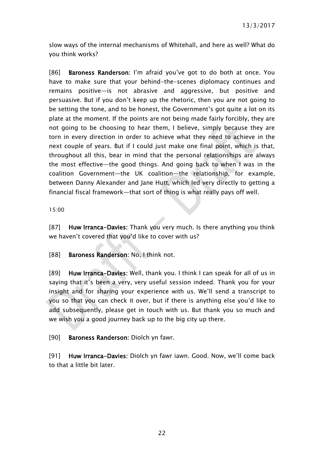slow ways of the internal mechanisms of Whitehall, and here as well? What do you think works?

[86] Baroness Randerson: I'm afraid you've got to do both at once. You have to make sure that your behind-the-scenes diplomacy continues and remains positive—is not abrasive and aggressive, but positive and persuasive. But if you don't keep up the rhetoric, then you are not going to be setting the tone, and to be honest, the Government's got quite a lot on its plate at the moment. If the points are not being made fairly forcibly, they are not going to be choosing to hear them, I believe, simply because they are torn in every direction in order to achieve what they need to achieve in the next couple of years. But if I could just make one final point, which is that, throughout all this, bear in mind that the personal relationships are always the most effective—the good things. And going back to when I was in the coalition Government—the UK coalition—the relationship, for example, between Danny Alexander and Jane Hutt, which led very directly to getting a financial fiscal framework—that sort of thing is what really pays off well.

15:00

[87] Huw Irranca-Davies: Thank you very much. Is there anything you think we haven't covered that you'd like to cover with us?

[88] Baroness Randerson: No. I think not.

[89] Huw Irranca-Davies: Well, thank you. I think I can speak for all of us in saying that it's been a very, very useful session indeed. Thank you for your insight and for sharing your experience with us. We'll send a transcript to you so that you can check it over, but if there is anything else you'd like to add subsequently, please get in touch with us. But thank you so much and we wish you a good journey back up to the big city up there.

[90] Baroness Randerson: Diolch yn fawr.

[91] Huw Irranca-Davies: Diolch yn fawr iawn. Good. Now, we'll come back to that a little bit later.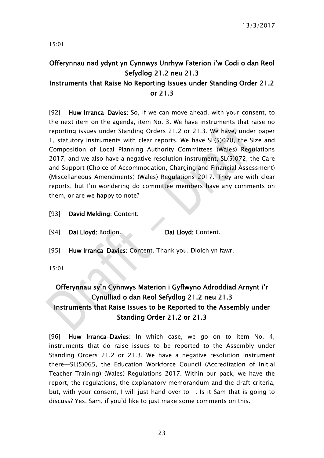15:01

## <span id="page-22-0"></span>Offerynnau nad ydynt yn Cynnwys Unrhyw Faterion i'w Codi o dan Reol Sefydlog 21.2 neu 21.3

### Instruments that Raise No Reporting Issues under Standing Order 21.2 or 21.3

[92] Huw Irranca-Davies: So, if we can move ahead, with your consent, to the next item on the agenda, item No. 3. We have instruments that raise no reporting issues under Standing Orders 21.2 or 21.3. We have, under paper 1, statutory instruments with clear reports. We have SL(5)070, the Size and Composition of Local Planning Authority Committees (Wales) Regulations 2017, and we also have a negative resolution instrument, SL(5)072, the Care and Support (Choice of Accommodation, Charging and Financial Assessment) (Miscellaneous Amendments) (Wales) Regulations 2017. They are with clear reports, but I'm wondering do committee members have any comments on them, or are we happy to note?

- [93] David Melding: Content.
- [94] Dai Lloyd: Bodlon. Dai Lloyd: Content.
- [95] Huw Irranca-Davies: Content. Thank you. Diolch yn fawr.

15:01

### <span id="page-22-1"></span>Offerynnau sy'n Cynnwys Materion i Gyflwyno Adroddiad Arnynt i'r Cynulliad o dan Reol Sefydlog 21.2 neu 21.3 Instruments that Raise Issues to be Reported to the Assembly under Standing Order 21.2 or 21.3

[96] Huw Irranca-Davies: In which case, we go on to item No. 4, instruments that do raise issues to be reported to the Assembly under Standing Orders 21.2 or 21.3. We have a negative resolution instrument there—SL(5)065, the Education Workforce Council (Accreditation of Initial Teacher Training) (Wales) Regulations 2017. Within our pack, we have the report, the regulations, the explanatory memorandum and the draft criteria, but, with your consent, I will just hand over to—. Is it Sam that is going to discuss? Yes. Sam, if you'd like to just make some comments on this.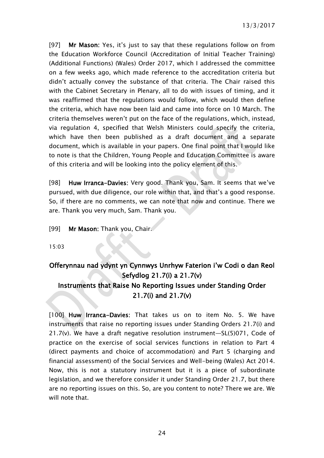[97] Mr Mason: Yes, it's just to say that these regulations follow on from the Education Workforce Council (Accreditation of Initial Teacher Training) (Additional Functions) (Wales) Order 2017, which I addressed the committee on a few weeks ago, which made reference to the accreditation criteria but didn't actually convey the substance of that criteria. The Chair raised this with the Cabinet Secretary in Plenary, all to do with issues of timing, and it was reaffirmed that the regulations would follow, which would then define the criteria, which have now been laid and came into force on 10 March. The criteria themselves weren't put on the face of the regulations, which, instead, via regulation 4, specified that Welsh Ministers could specify the criteria, which have then been published as a draft document and a separate document, which is available in your papers. One final point that I would like to note is that the Children, Young People and Education Committee is aware of this criteria and will be looking into the policy element of this.

[98] Huw Irranca-Davies: Very good. Thank you, Sam. It seems that we've pursued, with due diligence, our role within that, and that's a good response. So, if there are no comments, we can note that now and continue. There we are. Thank you very much, Sam. Thank you.

[99] Mr Mason: Thank you, Chair.

15:03

### <span id="page-23-0"></span>Offerynnau nad ydynt yn Cynnwys Unrhyw Faterion i'w Codi o dan Reol Sefydlog 21.7(i) a 21.7(v) Instruments that Raise No Reporting Issues under Standing Order 21.7(i) and 21.7(v)

[100] Huw Irranca-Davies: That takes us on to item No. 5. We have instruments that raise no reporting issues under Standing Orders 21.7(i) and 21.7(v). We have a draft negative resolution instrument—SL(5)071, Code of practice on the exercise of social services functions in relation to Part 4 (direct payments and choice of accommodation) and Part 5 (charging and financial assessment) of the Social Services and Well-being (Wales) Act 2014. Now, this is not a statutory instrument but it is a piece of subordinate legislation, and we therefore consider it under Standing Order 21.7, but there are no reporting issues on this. So, are you content to note? There we are. We will note that.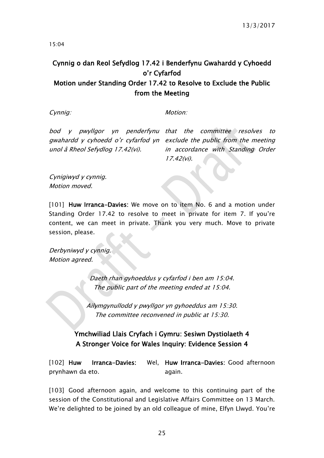15:04

### <span id="page-24-0"></span>Cynnig o dan Reol Sefydlog 17.42 i Benderfynu Gwahardd y Cyhoedd o'r Cyfarfod Motion under Standing Order 17.42 to Resolve to Exclude the Public

### from the Meeting

Cynnig: Motion: Motion:

unol â Rheol Sefydlog 17.42(vi).

bod y pwyllgor yn penderfynu that the committee resolves to gwahardd y cyhoedd o'r cyfarfod yn exclude the public from the meeting in accordance with Standing Order 17.42(vi).

Cynigiwyd y cynnig. Motion moved.

[101] Huw Irranca-Davies: We move on to item No. 6 and a motion under Standing Order 17.42 to resolve to meet in private for item 7. If you're content, we can meet in private. Thank you very much. Move to private session, please.

Derbyniwyd y cynnig. Motion agreed.

> Daeth rhan gyhoeddus y cyfarfod i ben am 15:04. The public part of the meeting ended at 15:04.

Ailymgynullodd y pwyllgor yn gyhoeddus am 15:30. The committee reconvened in public at 15:30.

### <span id="page-24-1"></span>Ymchwiliad Llais Cryfach i Gymru: Sesiwn Dystiolaeth 4 A Stronger Voice for Wales Inquiry: Evidence Session 4

[102] Huw Irranca-Davies: prynhawn da eto. Wel. Huw Irranca-Davies: Good afternoon again.

[103] Good afternoon again, and welcome to this continuing part of the session of the Constitutional and Legislative Affairs Committee on 13 March. We're delighted to be joined by an old colleague of mine, Elfyn Llwyd. You're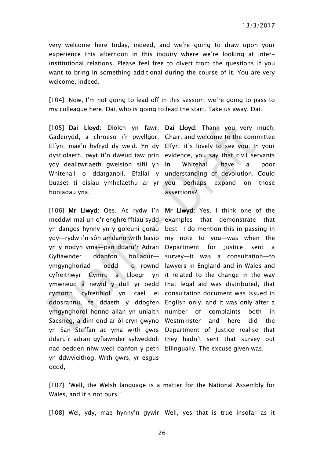13/3/2017

very welcome here today, indeed, and we're going to draw upon your experience this afternoon in this inquiry where we're looking at interinstitutional relations. Please feel free to divert from the questions if you want to bring in something additional during the course of it. You are very welcome, indeed.

[104] Now, I'm not going to lead off in this session; we're going to pass to my colleague here, Dai, who is going to lead the start. Take us away, Dai.

[105] Dai Lloyd: Diolch yn fawr, Dai Lloyd: Thank you very much, Gadeirydd, a chroeso i'r pwyllgor, Chair, and welcome to the committee Elfyn; mae'n hyfryd dy weld. Yn dy Elfyn; it's lovely to see you. In your dystiolaeth, rwyt ti'n dweud taw prin evidence, you say that civil servants ydy dealltwriaeth gweision sifil yn Whitehall o ddatganoli. Efallai y understanding of devolution. Could buaset ti eisiau ymhelaethu ar yr honiadau yna.

[106] Mr Llwyd: Oes. Ac rydw i'n Mr Llwyd: Yes. I think one of the meddwl mai un o'r enghreifftiau sydd examples that demonstrate that yn dangos hynny yn y goleuni gorau best—I do mention this in passing in ydy—rydw i'n sôn amdano wrth basio my note to you—was when the yn y nodyn yma—pan ddaru'r Adran Department for Justice sent a Gyfiawnder ddanfon holiadur ymgynghoriad oedd cyfreithwyr Cymru ymwneud â newid y dull yr oedd that legal aid was distributed, that cymorth cyfreithiol yn cael ei consultation document was issued in ddosrannu, fe ddaeth y ddogfen English only, and it was only after a ymgynghorol honno allan yn uniaith number of complaints both in Saesneg, a dim ond ar ôl cryn gwyno Westminster and here did the yn San Steffan ac yma wrth gwrs Department of Justice realise that ddaru'r adran gyfiawnder sylweddoli they hadn't sent that survey out nad oedden nhw wedi danfon y peth bilingually. The excuse given was, yn ddwyieithog. Wrth gwrs, yr esgus oedd,

Whitehall have a poor perhaps expand on those assertions?

survey—it was a consultation—to o—rownd lawyers in England and in Wales and a Lloegr yn it related to the change in the way

[107] 'Well, the Welsh language is a matter for the National Assembly for Wales, and it's not ours.'

[108] Wel, ydy, mae hynny'n gywir Well, yes that is true insofar as it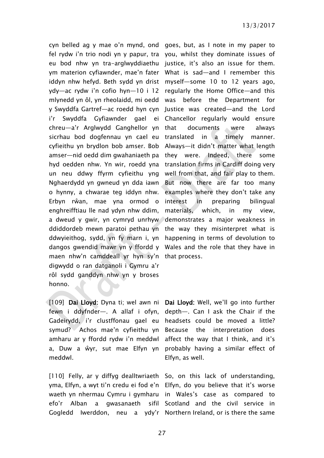cyn belled ag y mae o'n mynd, ond goes, but, as I note in my paper to fel rydw i'n trio nodi yn y papur, tra you, whilst they dominate issues of eu bod nhw yn tra-arglwyddiaethu justice, it's also an issue for them. ym materion cyfiawnder, mae'n fater What is sad—and I remember this iddyn nhw hefyd. Beth sydd yn drist myself—some 10 to 12 years ago, ydy—ac rydw i'n cofio hyn—10 i 12 regularly the Home Office—and this mlynedd yn ôl, yn rheolaidd, mi oedd was before the Department for y Swyddfa Gartref—ac roedd hyn cyn Justice was created—and the Lord i'r Swyddfa Gyfiawnder gael ei Chancellor regularly would ensure chreu—a'r Arglwydd Ganghellor yn sicrhau bod dogfennau yn cael eu cyfieithu yn brydlon bob amser. Bob Always—it didn't matter what length amser—nid oedd dim gwahaniaeth pa they were. Indeed, there some hyd oedden nhw. Yn wir, roedd yna translation firms in Cardiff doing very un neu ddwy ffyrm cyfieithu yng well from that, and fair play to them. Nghaerdydd yn gwneud yn dda iawn But now there are far too many o hynny, a chwarae teg iddyn nhw. Erbyn rŵan, mae yna ormod o enghreifftiau lle nad ydyn nhw ddim, a dweud y gwir, yn cymryd unrhyw demonstrates a major weakness in ddiddordeb mewn paratoi pethau yn the way they misinterpret what is ddwyieithog, sydd, yn fy marn i, yn happening in terms of devolution to dangos gwendid mawr yn y ffordd y Wales and the role that they have in maen nhw'n camddeall yr hyn sy'n that process. digwydd o ran datganoli i Gymru a'r rôl sydd ganddyn nhw yn y broses honno.

[109] Dai Lloyd: Dyna ti; wel awn ni Dai Lloyd: Well, we'll go into further fewn i ddyfnder—. A allaf i ofyn, Gadeirydd, i'r clustffonau gael eu headsets could be moved a little? symud? Achos mae'n cyfieithu yn Because the interpretation does amharu ar y ffordd rydw i'n meddwl a, Duw a ŵyr, sut mae Elfyn yn probably having a similar effect of meddwl.

[110] Felly, ar y diffyg dealltwriaeth So, on this lack of understanding, yma, Elfyn, a wyt ti'n credu ei fod e'n Elfyn, do you believe that it's worse waeth yn nhermau Cymru i gymharu in Wales's case as compared to efo'r Alban a gwasanaeth

documents were always in a timely manner. examples where they don't take any interest in preparing bilingual materials, which, in my view,

depth—. Can I ask the Chair if the affect the way that I think, and it's Elfyn, as well.

Gogledd Iwerddon, neu a ydy'r Northern Ireland, or is there the same sifil Scotland and the civil service in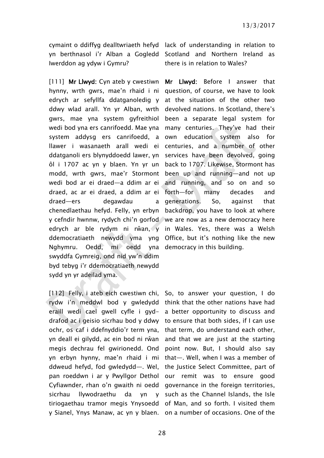Iwerddon ag ydyw i Gymru?

[111] Mr Llwyd: Cyn ateb y cwestiwn Mr Llwyd: Before I answer that hynny, wrth gwrs, mae'n rhaid i ni question, of course, we have to look edrych ar sefyllfa ddatganoledig y at the situation of the other two ddwy wlad arall. Yn yr Alban, wrth devolved nations. In Scotland, there's gwrs, mae yna system gyfreithiol been a separate legal system for wedi bod yna ers canrifoedd. Mae yna many centuries. They've had their system addysg ers canrifoedd, a own education system also for llawer i wasanaeth arall wedi ei centuries, and a number of other ddatganoli ers blynyddoedd lawer, yn services have been devolved, going ôl i 1707 ac yn y blaen. Yn yr un back to 1707. Likewise, Stormont has modd, wrth gwrs, mae'r Stormont been up and running—and not up wedi bod ar ei draed—a ddim ar ei and running, and so on and so draed, ac ar ei draed, a ddim ar ei forth—for many decades and draed—ers degawdau chenedlaethau hefyd. Felly, yn erbyn backdrop, you have to look at where y cefndir hwnnw, rydych chi'n gorfod we are now as a new democracy here edrych ar ble rydym ni rŵan, y in Wales. Yes, there was a Welsh ddemocratiaeth newydd yma yng Office, but it's nothing like the new Nghymru. Oedd, mi oedd swyddfa Gymreig, ond nid yw'n ddim byd tebyg i'r ddemocratiaeth newydd sydd yn yr adeilad yma.

[112] Felly, i ateb eich cwestiwn chi, So, to answer your question, I do rydw i'n meddwl bod y gwledydd think that the other nations have had eraill wedi cael gwell cyfle i gyd-a better opportunity to discuss and drafod ac i geisio sicrhau bod y ddwy to ensure that both sides, if I can use ochr, os caf i ddefnyddio'r term yna, that term, do understand each other, yn deall ei gilydd, ac ein bod ni rŵan megis dechrau fel gwirionedd. Ond point now. But, I should also say yn erbyn hynny, mae'n rhaid i mi that—. Well, when I was a member of ddweud hefyd, fod gwledydd—. Wel, the Justice Select Committee, part of pan roeddwn i ar y Pwyllgor Dethol our remit was to ensure good Cyfiawnder, rhan o'n gwaith ni oedd governance in the foreign territories, sicrhau llywodraethu da yn tiriogaethau tramor megis Ynysoedd of Man, and so forth. I visited them y Sianel, Ynys Manaw, ac yn y blaen. on a number of occasions. One of the

cymaint o ddiffyg dealltwriaeth hefyd lack of understanding in relation to yn berthnasol i'r Alban a Gogledd Scotland and Northern Ireland as there is in relation to Wales?

> a generations. So, against that democracy in this building.

and that we are just at the starting y such as the Channel Islands, the Isle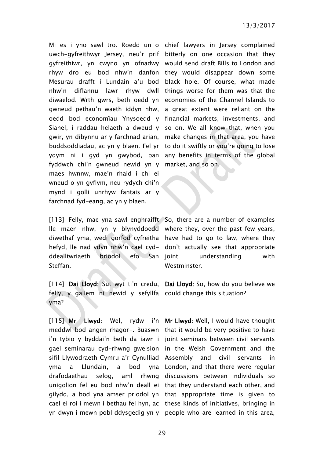Mi es i yno sawl tro. Roedd un o chief lawyers in Jersey complained uwch-gyfreithwyr Jersey, neu'r prif bitterly on one occasion that they gyfreithiwr, yn cwyno yn ofnadwy would send draft Bills to London and rhyw dro eu bod nhw'n danfon they would disappear down some Mesurau drafft i Lundain a'u bod black hole. Of course, what made nhw'n diflannu lawr rhyw dwll things worse for them was that the diwaelod. Wrth gwrs, beth oedd yn economies of the Channel Islands to gwneud pethau'n waeth iddyn nhw, a great extent were reliant on the oedd bod economïau Ynysoedd y financial markets, investments, and Sianel, i raddau helaeth a dweud y so on. We all know that, when you gwir, yn dibynnu ar y farchnad arian, make changes in that area, you have buddsoddiadau, ac yn y blaen. Fel yr to do it swiftly or you're going to lose ydym ni i gyd yn gwybod, pan any benefits in terms of the global fyddwch chi'n gwneud newid yn y market, and so on. maes hwnnw, mae'n rhaid i chi ei wneud o yn gyflym, neu rydych chi'n mynd i golli unrhyw fantais ar y farchnad fyd-eang, ac yn y blaen.

[113] Felly, mae yna sawl enghraifft So, there are a number of examples lle maen nhw, yn y blynyddoedd where they, over the past few years, diwethaf yma, wedi gorfod cyfreitha have had to go to law, where they hefyd, lle nad ydyn nhw'n cael cyd-don't actually see that appropriate ddealltwriaeth briodol efo San ioint Steffan.

felly, y gallem ni newid y sefyllfa could change this situation? yma?

 $[115]$  Mr Llwyd: Wel. meddwl bod angen rhagor-. Buaswn that it would be very positive to have i'n tybio y byddai'n beth da iawn i joint seminars between civil servants gael seminarau cyd-rhwng gweision in the Welsh Government and the sifil Llywodraeth Cymru a'r Cynulliad Assembly and civil servants in yma a Llundain, a bod drafodaethau selog, unigolion fel eu bod nhw'n deall ei that they understand each other, and gilydd, a bod yna amser priodol yn that appropriate time is given to cael ei roi i mewn i bethau fel hyn, ac these kinds of initiatives, bringing in yn dwyn i mewn pobl ddysgedig yn y people who are learned in this area,

understanding with Westminster.

[114] Dai Lloyd: Sut wyt ti'n credu, Dai Lloyd: So, how do you believe we

rydw i'n Mr Llwyd: Well, I would have thought London, and that there were regular aml rhwng discussions between individuals so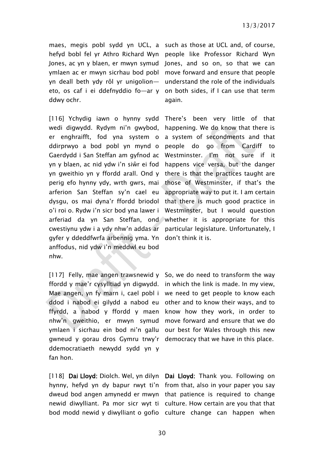maes, megis pobl sydd yn UCL, a such as those at UCL and, of course, hefyd bobl fel yr Athro Richard Wyn people like Professor Richard Wyn Jones, ac yn y blaen, er mwyn symud Jones, and so on, so that we can ymlaen ac er mwyn sicrhau bod pobl move forward and ensure that people yn deall beth ydy rôl yr unigolion— understand the role of the individuals eto, os caf i ei ddefnyddio fo—ar y on both sides, if I can use that term ddwy ochr.

[116] Ychydig iawn o hynny sydd wedi digwydd. Rydym ni'n gwybod, er enghraifft, fod yna system o ddirprwyo a bod pobl yn mynd o Gaerdydd i San Steffan am gyfnod ac yn y blaen, ac nid ydw i'n siŵr ei fod happens vice versa, but the danger yn gweithio yn y ffordd arall. Ond y perig efo hynny ydy, wrth gwrs, mai those of Westminster, if that's the arferion San Steffan sy'n cael eu dysgu, os mai dyna'r ffordd briodol o'i roi o. Rydw i'n sicr bod yna lawer i Westminster, but I would question arferiad da yn San Steffan, ond whether it is appropriate for this cwestiynu ydw i a ydy nhw'n addas ar gyfer y ddeddfwrfa arbennig yma. Yn don't think it is. anffodus, nid ydw i'n meddwl eu bod nhw.

[117] Felly, mae angen trawsnewid y So, we do need to transform the way ffordd y mae'r cysylltiad yn digwydd. in which the link is made. In my view, Mae angen, yn fy marn i, cael pobl i we need to get people to know each ddod i nabod ei gilydd a nabod eu other and to know their ways, and to ffyrdd, a nabod y ffordd y maen know how they work, in order to nhw'n gweithio, er mwyn symud move forward and ensure that we do ymlaen i sicrhau ein bod ni'n gallu our best for Wales through this new gwneud y gorau dros Gymru trwy'r democracy that we have in this place. ddemocratiaeth newydd sydd yn y fan hon.

[118] Dai Lloyd: Diolch. Wel, yn dilyn Dai Lloyd: Thank you. Following on hynny, hefyd yn dy bapur rwyt ti'n from that, also in your paper you say dweud bod angen amynedd er mwyn that patience is required to change newid diwylliant. Pa mor sicr wyt ti culture. How certain are you that that

again.

There's been very little of that happening. We do know that there is a system of secondments and that people do go from Cardiff to Westminster. I'm not sure if it there is that the practices taught are appropriate way to put it. I am certain that there is much good practice in particular legislature. Unfortunately, I

bod modd newid y diwylliant o gofio culture change can happen when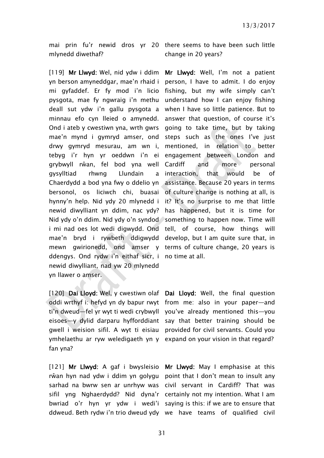mlynedd diwethaf?

[119] Mr Llwyd: Wel, nid ydw i ddim Mr Llwyd: Well, I'm not a patient yn berson amyneddgar, mae'n rhaid i person, I have to admit. I do enjoy mi gyfaddef. Er fy mod i'n licio fishing, but my wife simply can't pysgota, mae fy ngwraig i'n methu understand how I can enjoy fishing deall sut ydw i'n gallu pysgota a when I have so little patience. But to minnau efo cyn lleied o amynedd. answer that question, of course it's Ond i ateb y cwestiwn yna, wrth gwrs going to take time, but by taking mae'n mynd i gymryd amser, ond steps such as the ones I've just drwy gymryd mesurau, am wn i, tebyg i'r hyn yr oeddwn i'n ei grybwyll rŵan, fel bod yna well gysylltiad rhwng Llundain Chaerdydd a bod yna fwy o ddelio yn assistance. Because 20 years in terms bersonol, os liciwch chi, buasai of culture change is nothing at all, is hynny'n help. Nid ydy 20 mlynedd i it? It's no surprise to me that little newid diwylliant yn ddim, nac ydy? has happened, but it is time for Nid ydy o'n ddim. Nid ydy o'n syndod something to happen now. Time will i mi nad oes lot wedi digwydd. Ond tell, of course, how things will mae'n bryd i rywbeth ddigwydd develop, but I am quite sure that, in mewn gwirionedd, ond amser y terms of culture change, 20 years is ddengys. Ond rydw i'n eithaf sicr, i no time at all. newid diwylliant, nad yw 20 mlynedd yn llawer o amser.

[120] Dai Lloyd: Wel, y cwestiwn olaf Dai Lloyd: Well, the final question oddi wrthyf i: hefyd yn dy bapur rwyt from me: also in your paper—and ti'n dweud—fel yr wyt ti wedi crybwyll you've already mentioned this—you eisoes—y dylid darparu hyfforddiant say that better training should be gwell i weision sifil. A wyt ti eisiau provided for civil servants. Could you ymhelaethu ar ryw weledigaeth yn y expand on your vision in that regard? fan yna?

[121] Mr Llwyd: A gaf i bwysleisio Mr Llwyd: May I emphasise at this rŵan hyn nad ydw i ddim yn golygu point that I don't mean to insult any sarhad na bwrw sen ar unrhyw was civil servant in Cardiff? That was sifil yng Nghaerdydd? Nid dyna'r certainly not my intention. What I am bwriad o'r hyn yr ydw i wedi'i saying is this: if we are to ensure that

mai prin fu'r newid dros yr 20 there seems to have been such little change in 20 years?

> mentioned, in relation to better engagement between London and and more personal a interaction, that would be of

ddweud. Beth rydw i'n trio dweud ydy we have teams of qualified civil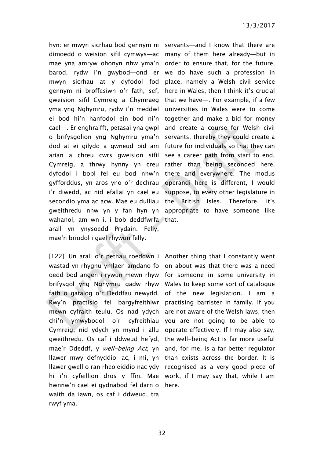hyn: er mwyn sicrhau bod gennym ni servants—and I know that there are dimoedd o weision sifil cymwys—ac many of them here already—but in mae yna amryw ohonyn nhw yma'n order to ensure that, for the future, barod, rydw i'n gwybod—ond er we do have such a profession in mwyn sicrhau at y dyfodol fod place, namely a Welsh civil service gennym ni broffesiwn o'r fath, sef, gweision sifil Cymreig a Chymraeg yma yng Nghymru, rydw i'n meddwl ei bod hi'n hanfodol ein bod ni'n cael—. Er enghraifft, petasai yna gwpl o brifysgolion yng Nghymru yma'n servants, thereby they could create a dod at ei gilydd a gwneud bid am arian a chreu cwrs gweision sifil Cymreig, a thrwy hynny yn creu rather than being seconded here, dyfodol i bobl fel eu bod nhw'n there and everywhere. The modus gyfforddus, yn aros yno o'r dechrau operandi here is different, I would i'r diwedd, ac nid efallai yn cael eu secondio yma ac acw. Mae eu dulliau gweithredu nhw yn y fan hyn yn wahanol, am wn i, i bob deddfwrfa that. arall yn ynysoedd Prydain. Felly, mae'n briodol i gael rhywun felly.

[122] Un arall o'r pethau roeddwn i Another thing that I constantly went wastad yn rhygnu ymlaen amdano fo oedd bod angen i rywun mewn rhyw for someone in some university in brifysgol yng Nghymru gadw rhyw Wales to keep some sort of catalogue fath o gatalog o'r Deddfau newydd. Rwy'n practisio fel bargyfreithiwr mewn cyfraith teulu. Os nad ydych chi'n ymwybodol o'r cyfreithiau Cymreig, nid ydych yn mynd i allu gweithredu. Os caf i ddweud hefyd, mae'r Ddeddf, y well-being Act, yn llawer mwy defnyddiol ac, i mi, yn llawer gwell o ran rheoleiddio nac ydy recognised as a very good piece of hi i'n cyfeillion dros y ffin. Mae work, if I may say that, while I am hwnnw'n cael ei gydnabod fel darn o here.waith da iawn, os caf i ddweud, tra rwyf yma.

here in Wales, then I think it's crucial that we have—. For example, if a few universities in Wales were to come together and make a bid for money and create a course for Welsh civil future for individuals so that they can see a career path from start to end, suppose, to every other legislature in the British Isles. Therefore, it's appropriate to have someone like

on about was that there was a need of the new legislation. I am a practising barrister in family. If you are not aware of the Welsh laws, then you are not going to be able to operate effectively. If I may also say, the well-being Act is far more useful and, for me, is a far better regulator than exists across the border. It is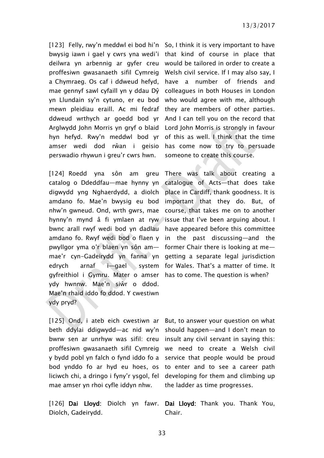[123] Felly, rwy'n meddwl ei bod hi'n So, I think it is very important to have bwysig iawn i gael y cwrs yna wedi'i that kind of course in place that deilwra yn arbennig ar gyfer creu would be tailored in order to create a proffesiwn gwasanaeth sifil Cymreig Welsh civil service. If I may also say, I a Chymraeg. Os caf i ddweud hefyd, mae gennyf sawl cyfaill yn y ddau Dŷ colleagues in both Houses in London yn Llundain sy'n cytuno, er eu bod mewn pleidiau eraill. Ac mi fedraf ddweud wrthych ar goedd bod yr Arglwydd John Morris yn gryf o blaid hyn hefyd. Rwy'n meddwl bod yr amser wedi dod rŵan i geisio perswadio rhywun i greu'r cwrs hwn.

[124] Roedd yna sôn am greu catalog o Ddeddfau—mae hynny yn catalogue of Acts—that does take digwydd yng Nghaerdydd, a diolch amdano fo. Mae'n bwysig eu bod nhw'n gwneud. Ond, wrth gwrs, mae hynny'n mynd â fi ymlaen at ryw issue that I've been arguing about. I bwnc arall rwyf wedi bod yn dadlau have appeared before this committee amdano fo. Rwyf wedi bod o flaen y in the past discussing—and the pwyllgor yma o'r blaen yn sôn am— former Chair there is looking at me mae'r cyn-Gadeirydd yn fanna yn getting a separate legal jurisdiction edrych arnaf i—gael system for Wales. That's a matter of time. It gyfreithiol i Gymru. Mater o amser has to come. The question is when? ydy hwnnw. Mae'n siŵr o ddod. Mae'n rhaid iddo fo ddod. Y cwestiwn ydy pryd?

[125] Ond, i ateb eich cwestiwn ar But, to answer your question on what beth ddylai ddigwydd—ac nid wy'n should happen—and I don't mean to bwrw sen ar unrhyw was sifil: creu proffesiwn gwasanaeth sifil Cymreig y bydd pobl yn falch o fynd iddo fo a bod ynddo fo ar hyd eu hoes, os liciwch chi, a dringo i fyny'r ysgol, fel mae amser yn rhoi cyfle iddyn nhw.

Diolch, Gadeirydd.

have a number of friends and who would agree with me, although they are members of other parties. And I can tell you on the record that Lord John Morris is strongly in favour of this as well. I think that the time has come now to try to persuade someone to create this course.

There was talk about creating a place in Cardiff, thank goodness. It is important that they do. But, of course, that takes me on to another

insult any civil servant in saying this: we need to create a Welsh civil service that people would be proud to enter and to see a career path developing for them and climbing up the ladder as time progresses.

[126] Dai Lloyd: Diolch yn fawr. Dai Lloyd: Thank you. Thank You, Chair.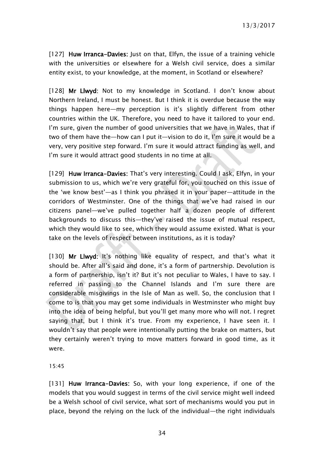[127] Huw Irranca-Davies: Just on that, Elfyn, the issue of a training vehicle with the universities or elsewhere for a Welsh civil service, does a similar entity exist, to your knowledge, at the moment, in Scotland or elsewhere?

[128] Mr Llwyd: Not to my knowledge in Scotland. I don't know about Northern Ireland, I must be honest. But I think it is overdue because the way things happen here—my perception is it's slightly different from other countries within the UK. Therefore, you need to have it tailored to your end. I'm sure, given the number of good universities that we have in Wales, that if two of them have the—how can I put it—vision to do it, I'm sure it would be a very, very positive step forward. I'm sure it would attract funding as well, and I'm sure it would attract good students in no time at all.

[129] Huw Irranca-Davies: That's very interesting. Could Lask, Elfyn, in your submission to us, which we're very grateful for, you touched on this issue of the 'we know best'—as I think you phrased it in your paper—attitude in the corridors of Westminster. One of the things that we've had raised in our citizens panel—we've pulled together half a dozen people of different backgrounds to discuss this—they've raised the issue of mutual respect, which they would like to see, which they would assume existed. What is your take on the levels of respect between institutions, as it is today?

[130] Mr Llwyd: It's nothing like equality of respect, and that's what it should be. After all's said and done, it's a form of partnership. Devolution is a form of partnership, isn't it? But it's not peculiar to Wales, I have to say. I referred in passing to the Channel Islands and I'm sure there are considerable misgivings in the Isle of Man as well. So, the conclusion that I come to is that you may get some individuals in Westminster who might buy into the idea of being helpful, but you'll get many more who will not. I regret saying that, but I think it's true. From my experience, I have seen it. I wouldn't say that people were intentionally putting the brake on matters, but they certainly weren't trying to move matters forward in good time, as it were.

15:45

[131] Huw Irranca-Davies: So, with your long experience, if one of the models that you would suggest in terms of the civil service might well indeed be a Welsh school of civil service, what sort of mechanisms would you put in place, beyond the relying on the luck of the individual—the right individuals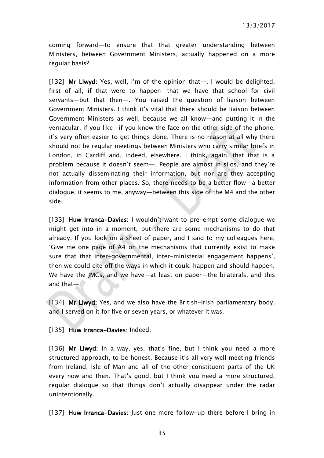coming forward—to ensure that that greater understanding between Ministers, between Government Ministers, actually happened on a more regular basis?

[132] Mr Llwyd: Yes, well, I'm of the opinion that—. I would be delighted, first of all, if that were to happen—that we have that school for civil servants—but that then—. You raised the question of liaison between Government Ministers. I think it's vital that there should be liaison between Government Ministers as well, because we all know—and putting it in the vernacular, if you like—if you know the face on the other side of the phone, it's very often easier to get things done. There is no reason at all why there should not be regular meetings between Ministers who carry similar briefs in London, in Cardiff and, indeed, elsewhere. I think, again, that that is a problem because it doesn't seem—. People are almost in silos, and they're not actually disseminating their information, but nor are they accepting information from other places. So, there needs to be a better flow—a better dialogue, it seems to me, anyway—between this side of the M4 and the other side.

[133] Huw Irranca-Davies: I wouldn't want to pre-empt some dialogue we might get into in a moment, but there are some mechanisms to do that already. If you look on a sheet of paper, and I said to my colleagues here, 'Give me one page of A4 on the mechanisms that currently exist to make sure that that inter-governmental, inter-ministerial engagement happens', then we could cite off the ways in which it could happen and should happen. We have the JMCs, and we have—at least on paper—the bilaterals, and this and that $-$ 

[134] Mr Llwyd: Yes, and we also have the British-Irish parliamentary body, and I served on it for five or seven years, or whatever it was.

[135] Huw Irranca-Davies: Indeed.

[136] Mr Llwyd: In a way, yes, that's fine, but I think you need a more structured approach, to be honest. Because it's all very well meeting friends from Ireland, Isle of Man and all of the other constituent parts of the UK every now and then. That's good, but I think you need a more structured, regular dialogue so that things don't actually disappear under the radar unintentionally.

[137] Huw Irranca-Davies: Just one more follow-up there before I bring in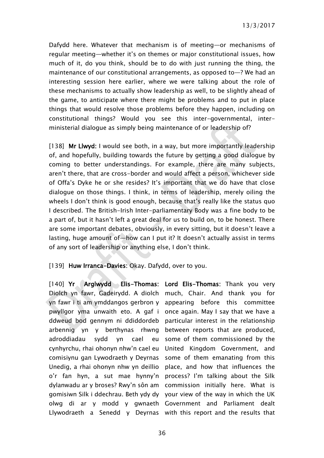Dafydd here. Whatever that mechanism is of meeting—or mechanisms of regular meeting—whether it's on themes or major constitutional issues, how much of it, do you think, should be to do with just running the thing, the maintenance of our constitutional arrangements, as opposed to—? We had an interesting session here earlier, where we were talking about the role of these mechanisms to actually show leadership as well, to be slightly ahead of the game, to anticipate where there might be problems and to put in place things that would resolve those problems before they happen, including on constitutional things? Would you see this inter-governmental, interministerial dialogue as simply being maintenance of or leadership of?

[138] Mr Llwyd: I would see both, in a way, but more importantly leadership of, and hopefully, building towards the future by getting a good dialogue by coming to better understandings. For example, there are many subjects, aren't there, that are cross-border and would affect a person, whichever side of Offa's Dyke he or she resides? It's important that we do have that close dialogue on those things. I think, in terms of leadership, merely oiling the wheels I don't think is good enough, because that's really like the status quo I described. The British-Irish Inter-parliamentary Body was a fine body to be a part of, but it hasn't left a great deal for us to build on, to be honest. There are some important debates, obviously, in every sitting, but it doesn't leave a lasting, huge amount of—how can I put it? It doesn't actually assist in terms of any sort of leadership or anything else, I don't think.

### [139] Huw Irranca-Davies: Okay. Dafydd, over to you.

[140] Yr Arglwydd Elis-Thomas: Lord Elis-Thomas: Thank you very Diolch yn fawr, Gadeirydd. A diolch much, Chair. And thank you for yn fawr i ti am ymddangos gerbron y appearing before this committee pwyllgor yma unwaith eto. A gaf i once again. May I say that we have a ddweud bod gennym ni ddiddordeb particular interest in the relationship arbennig yn y berthynas rhwng between reports that are produced, adroddiadau sydd yn cael eu cynhyrchu, rhai ohonyn nhw'n cael eu United Kingdom Government, and comisiynu gan Lywodraeth y Deyrnas Unedig, a rhai ohonyn nhw yn deillio place, and how that influences the o'r fan hyn, a sut mae hynny'n process? I'm talking about the Silk dylanwadu ar y broses? Rwy'n sôn am commission initially here. What is gomisiwn Silk i ddechrau. Beth ydy dy your view of the way in which the UK olwg di ar y modd y gwnaeth Government and Parliament dealt Llywodraeth a Senedd y Deyrnas with this report and the results that

some of them commissioned by the some of them emanating from this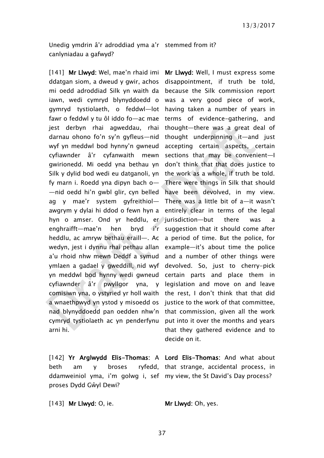Unedig ymdrin â'r adroddiad yma a'r stemmed from it? canlyniadau a gafwyd?

[141] Mr Llwyd: Wel, mae'n rhaid imi ddatgan siom, a dweud y gwir, achos mi oedd adroddiad Silk yn waith da because the Silk commission report iawn, wedi cymryd blynyddoedd o was a very good piece of work, gymryd tystiolaeth, o feddwl—lot having taken a number of years in fawr o feddwl y tu ôl iddo fo—ac mae jest derbyn rhai agweddau, rhai darnau ohono fo'n sy'n gyfleus—nid wyf yn meddwl bod hynny'n gwneud cyfiawnder â'r cyfanwaith mewn gwirionedd. Mi oedd yna bethau yn don't think that that does justice to Silk y dylid bod wedi eu datganoli, yn the work as a whole, if truth be told. fy marn i. Roedd yna dipyn bach o— —nid oedd hi'n gwbl glir, cyn belled have been devolved, in my view. ag y mae'r system gyfreithiol awgrym y dylai hi ddod o fewn hyn a entirely clear in terms of the legal hyn o amser. Ond yr heddlu, er jurisdiction—but there was a enghraifft—mae'n hen bryd i'r heddlu, ac amryw bethau eraill—. Ac wedyn, jest i dynnu rhai pethau allan a'u rhoid nhw mewn Deddf a symud and a number of other things were ymlaen a gadael y gweddill, nid wyf yn meddwl bod hynny wedi gwneud certain parts and place them in cyfiawnder â'r pwyllgor yna, y legislation and move on and leave comisiwn yna, o ystyried yr holl waith the rest, I don't think that that did a wnaethpwyd yn ystod y misoedd os nad blynyddoedd pan oedden nhw'n that commission, given all the work cymryd tystiolaeth ac yn penderfynu arni hi.

[142] Yr Arglwydd Elis-Thomas: A Lord Elis-Thomas: And what about beth am y broses ryfedd, that strange, accidental process, in ddamweiniol yma, i'm golwg i, sef my view, the St David's Day process? proses Dydd Gŵyl Dewi?

[143] Mr Llwyd: O, ie. Mr Llwyd: Oh, yes.

Mr Llwyd: Well, I must express some disappointment, if truth be told, terms of evidence-gathering, and thought—there was a great deal of thought underpinning it—and just accepting certain aspects, certain sections that may be convenient—I There were things in Silk that should There was a little bit of a—it wasn't suggestion that it should come after a period of time. But the police, for example—it's about time the police devolved. So, just to cherry-pick justice to the work of that committee. put into it over the months and years that they gathered evidence and to decide on it.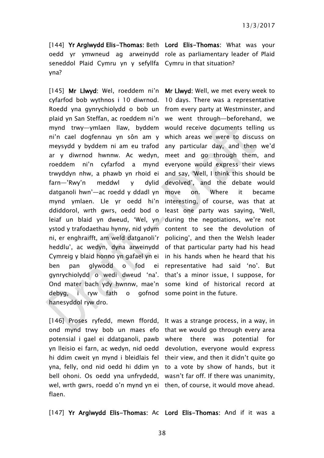seneddol Plaid Cymru yn y sefyllfa Cymru in that situation? yna?

[145] Mr Llwyd: Wel, roeddem ni'n Mr Llwyd: Well, we met every week to cyfarfod bob wythnos i 10 diwrnod. 10 days. There was a representative Roedd yna gynrychiolydd o bob un from every party at Westminster, and plaid yn San Steffan, ac roeddem ni'n we went through—beforehand, we mynd trwy—ymlaen llaw, byddem would receive documents telling us ni'n cael dogfennau yn sôn am y which areas we were to discuss on meysydd y byddem ni am eu trafod any particular day, and then we'd ar y diwrnod hwnnw. Ac wedyn, meet and go through them, and roeddem ni'n cyfarfod a mynd everyone would express their views trwyddyn nhw, a phawb yn rhoid ei and say, 'Well, I think this should be  $farn$ —'Rwy'n meddwl y datganoli hwn'—ac roedd y ddadl yn move mynd ymlaen. Lle yr oedd hi'n interesting, of course, was that at ddiddorol, wrth gwrs, oedd bod o least one party was saying, 'Well, leiaf un blaid yn dweud, 'Wel, yn during the negotiations, we're not ystod y trafodaethau hynny, nid ydym content to see the devolution of ni, er enghraifft, am weld datganoli'r policing', and then the Welsh leader heddlu', ac wedyn, dyna arweinydd of that particular party had his head Cymreig y blaid honno yn gafael yn ei in his hands when he heard that his ben pan glywodd o fod ei representative had said 'no'. But gynrychiolydd o wedi dweud 'na'. that's a minor issue, I suppose, for Ond mater bach ydy hwnnw, mae'n some kind of historical record at debyg, i ryw fath o gofnod some point in the future. hanesyddol ryw dro.

[144] Yr Arglwydd Elis-Thomas: Beth Lord Elis-Thomas: What was your oedd yr ymwneud ag arweinydd role as parliamentary leader of Plaid

> dylid devolved', and the debate would on. Where it became

[146] Proses ryfedd, mewn ffordd, It was a strange process, in a way, in ond mynd trwy bob un maes efo that we would go through every area potensial i gael ei ddatganoli, pawb where there was potential for yn lleisio ei farn, ac wedyn, nid oedd devolution, everyone would express hi ddim cweit yn mynd i bleidlais fel their view, and then it didn't quite go yna, felly, ond nid oedd hi ddim yn to a vote by show of hands, but it bell ohoni. Os oedd yna unfrydedd, wasn't far off. If there was unanimity, wel, wrth gwrs, roedd o'n mynd yn ei then, of course, it would move ahead. flaen.

[147] Yr Arglwydd Elis-Thomas: Ac Lord Elis-Thomas: And if it was a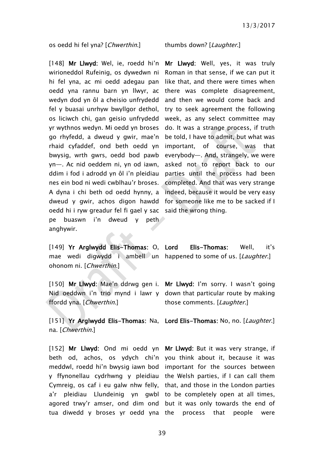os oedd hi fel yna? [*Chwerthin*.] thumbs down? [Laughter.]

[148] Mr Llwyd: Wel, ie, roedd hi'n Mr Llwyd: Well, yes, it was truly wirioneddol Rufeinig, os dywedwn ni hi fel yna, ac mi oedd adegau pan oedd yna rannu barn yn llwyr, ac there was complete disagreement, wedyn dod yn ôl a cheisio unfrydedd and then we would come back and fel y buasai unrhyw bwyllgor dethol, os liciwch chi, gan geisio unfrydedd week, as any select committee may yr wythnos wedyn. Mi oedd yn broses go rhyfedd, a dweud y gwir, mae'n rhaid cyfaddef, ond beth oedd yn bwysig, wrth gwrs, oedd bod pawb yn—. Ac nid oeddem ni, yn od iawn, ddim i fod i adrodd yn ôl i'n pleidiau parties until the process had been nes ein bod ni wedi cwblhau'r broses. completed. And that was very strange A dyna i chi beth od oedd hynny, a indeed, because it would be very easy dweud y gwir, achos digon hawdd for someone like me to be sacked if I oedd hi i ryw greadur fel fi gael y sac said the wrong thing. pe buaswn i'n dweud y peth anghywir.

Roman in that sense, if we can put it like that, and there were times when try to seek agreement the following do. It was a strange process, if truth be told, I have to admit, but what was important, of course, was that everybody—. And, strangely, we were asked not to report back to our

[149] Yr Arglwydd Elis-Thomas: O, Lord mae wedi digwydd i ambell un happened to some of us. [*Laughter*.] ohonom ni. [Chwerthin.]

ffordd yna. [Chwerthin.]

[151] Yr Arglwydd Elis-Thomas: Na, Lord Elis-Thomas: No, no. [Laughter.] na. [Chwerthin.]

[152] Mr Llwyd: Ond mi oedd yn Mr Llwyd: But it was very strange, if beth od, achos, os ydych chi'n you think about it, because it was meddwl, roedd hi'n bwysig iawn bod important for the sources between y ffynonellau cydrhwng y pleidiau the Welsh parties, if I can call them Cymreig, os caf i eu galw nhw felly, that, and those in the London parties a'r pleidiau Llundeinig yn gwbl to be completely open at all times, agored trwy'r amser, ond dim ond but it was only towards the end of tua diwedd y broses yr oedd yna the process that people were

Elis-Thomas: Well. it's

[150] Mr Llwyd: Mae'n ddrwg gen i. Mr Llwyd: I'm sorry. I wasn't going Nid oeddwn i'n trio mynd i lawr y down that particular route by making those comments. [Laughter.]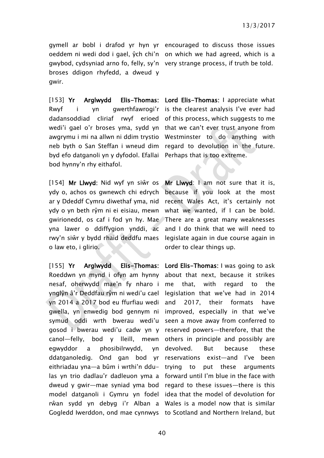gwybod, cydsyniad arno fo, felly, sy'n very strange process, if truth be told. broses ddigon rhyfedd, a dweud y gwir.

[153] Yr Arglwydd Elis-Thomas: Lord Elis-Thomas: I appreciate what Rwyf i yn gwerthfawrogi'r is the clearest analysis I've ever had dadansoddiad cliriaf rwyf erioed of this process, which suggests to me wedi'i gael o'r broses yma, sydd yn that we can't ever trust anyone from awgrymu i mi na allwn ni ddim trystio Westminster to do anything with neb byth o San Steffan i wneud dim regard to devolution in the future. byd efo datganoli yn y dyfodol. Efallai Perhaps that is too extreme. bod hynny'n rhy eithafol.

[154] Mr Llwyd: Nid wyf yn siŵr os ydy o, achos os gwnewch chi edrych ar y Ddeddf Cymru diwethaf yma, nid ydy o yn beth rŷm ni ei eisiau, mewn gwirionedd, os caf i fod yn hy. Mae There are a great many weaknesses yna lawer o ddiffygion ynddi, ac rwy'n siŵr y bydd rhaid deddfu maes o law eto, i glirio.

[155] Yr Arglwydd Elis-Thomas: Roeddwn yn mynd i ofyn am hynny nesaf, oherwydd mae'n fy nharo i ynglŷn â'r Deddfau rŷm ni wedi'u cael legislation that we've had in 2014 yn 2014 a 2017 bod eu ffurfiau wedi gwella, yn enwedig bod gennym ni improved, especially in that we've symud oddi wrth bwerau wedi'u gosod i bwerau wedi'u cadw yn y reserved powers—therefore, that the canol—felly, bod y lleill, mewn egwyddor a phosibilrwydd, yn ddatganoledig. Ond gan bod yr reservations exist—and I've been eithriadau yna—a bûm i wrthi'n ddulas yn trio dadlau'r dadleuon yma a forward until I'm blue in the face with dweud y gwir—mae syniad yma bod regard to these issues—there is this model datganoli i Gymru yn fodel idea that the model of devolution for rŵan sydd yn debyg i'r Alban a Wales is a model now that is similar Gogledd Iwerddon, ond mae cynnwys to Scotland and Northern Ireland, but

gymell ar bobl i drafod yr hyn yr encouraged to discuss those issues oeddem ni wedi dod i gael, ŷch chi'n on which we had agreed, which is a

Mr Llwyd: I am not sure that it is. because if you look at the most recent Wales Act, it's certainly not what we wanted, if I can be bold. and I do think that we will need to legislate again in due course again in order to clear things up.

Lord Elis-Thomas: I was going to ask about that next, because it strikes that, with regard to the and 2017, their formats have seen a move away from conferred to others in principle and possibly are devolved. But because these trying to put these arguments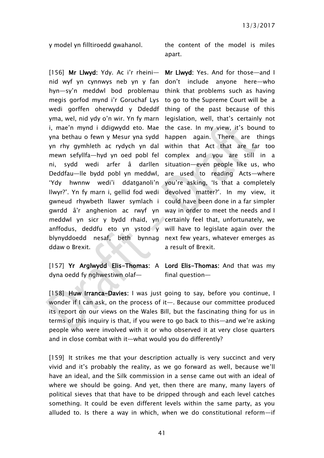[156] Mr Llwyd: Ydy. Ac i'r rheini nid wyf yn cynnwys neb yn y fan don't include anyone here—who hyn—sy'n meddwl bod problemau think that problems such as having megis gorfod mynd i'r Goruchaf Lys to go to the Supreme Court will be a wedi gorffen oherwydd y Ddeddf thing of the past because of this yma, wel, nid ydy o'n wir. Yn fy marn legislation, well, that's certainly not i, mae'n mynd i ddigwydd eto. Mae the case. In my view, it's bound to yna bethau o fewn y Mesur yna sydd happen again. There are things yn rhy gymhleth ac rydych yn dal within that Act that are far too mewn sefyllfa—hyd yn oed pobl fel complex and you are still in a ni, sydd wedi arfer â darllen situation—even people like us, who Deddfau—lle bydd pobl yn meddwl, are used to reading Acts—where 'Ydy hwnnw wedi'i ddatganoli'n you're asking, 'Is that a completely llwyr?'. Yn fy marn i, gellid fod wedi devolved matter?'. In my view, it gwneud rhywbeth llawer symlach i could have been done in a far simpler gwrdd â'r anghenion ac rwyf yn way in order to meet the needs and I meddwl yn sicr y bydd rhaid, yn certainly feel that, unfortunately, we anffodus, deddfu eto yn ystod y will have to legislate again over the blynyddoedd nesaf, beth bynnag next few years, whatever emerges as ddaw o Brexit.

dyna oedd fy nghwestiwn olaf—

y model yn filltiroedd gwahanol. the content of the model is miles apart.

> Mr Llwyd: Yes. And for those—and I a result of Brexit.

[157] Yr Arglwydd Elis-Thomas: A Lord Elis-Thomas: And that was my final question—

[158] Huw Irranca-Davies: I was just going to say, before you continue, I wonder if I can ask, on the process of it—. Because our committee produced its report on our views on the Wales Bill, but the fascinating thing for us in terms of this inquiry is that, if you were to go back to this—and we're asking people who were involved with it or who observed it at very close quarters and in close combat with it—what would you do differently?

[159] It strikes me that your description actually is very succinct and very vivid and it's probably the reality, as we go forward as well, because we'll have an ideal, and the Silk commission in a sense came out with an ideal of where we should be going. And yet, then there are many, many layers of political sieves that that have to be dripped through and each level catches something. It could be even different levels within the same party, as you alluded to. Is there a way in which, when we do constitutional reform—if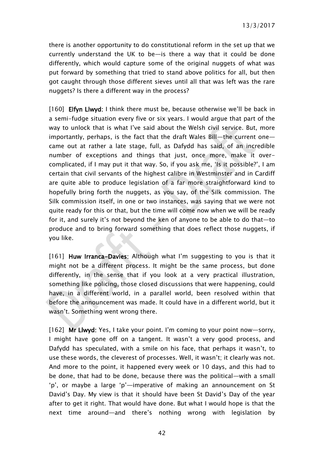there is another opportunity to do constitutional reform in the set up that we currently understand the UK to be—is there a way that it could be done differently, which would capture some of the original nuggets of what was put forward by something that tried to stand above politics for all, but then got caught through those different sieves until all that was left was the rare nuggets? Is there a different way in the process?

[160] Elfyn Llwyd: I think there must be, because otherwise we'll be back in a semi-fudge situation every five or six years. I would argue that part of the way to unlock that is what I've said about the Welsh civil service. But, more importantly, perhaps, is the fact that the draft Wales Bill—the current one came out at rather a late stage, full, as Dafydd has said, of an incredible number of exceptions and things that just, once more, make it overcomplicated, if I may put it that way. So, if you ask me, 'Is it possible?', I am certain that civil servants of the highest calibre in Westminster and in Cardiff are quite able to produce legislation of a far more straightforward kind to hopefully bring forth the nuggets, as you say, of the Silk commission. The Silk commission itself, in one or two instances, was saying that we were not quite ready for this or that, but the time will come now when we will be ready for it, and surely it's not beyond the ken of anyone to be able to do that—to produce and to bring forward something that does reflect those nuggets, if you like.

[161] Huw Irranca-Davies: Although what I'm suggesting to you is that it might not be a different process. It might be the same process, but done differently, in the sense that if you look at a very practical illustration, something like policing, those closed discussions that were happening, could have, in a different world, in a parallel world, been resolved within that before the announcement was made. It could have in a different world, but it wasn't. Something went wrong there.

[162] Mr Llwyd: Yes, I take your point. I'm coming to your point now-sorry, I might have gone off on a tangent. It wasn't a very good process, and Dafydd has speculated, with a smile on his face, that perhaps it wasn't, to use these words, the cleverest of processes. Well, it wasn't; it clearly was not. And more to the point, it happened every week or 10 days, and this had to be done, that had to be done, because there was the political—with a small 'p', or maybe a large 'p'—imperative of making an announcement on St David's Day. My view is that it should have been St David's Day of the year after to get it right. That would have done. But what I would hope is that the next time around—and there's nothing wrong with legislation by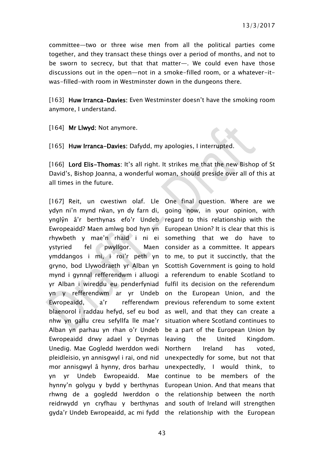committee—two or three wise men from all the political parties come together, and they transact these things over a period of months, and not to be sworn to secrecy, but that that matter—. We could even have those discussions out in the open—not in a smoke-filled room, or a whatever-itwas-filled-with room in Westminster down in the dungeons there.

[163] Huw Irranca-Davies: Even Westminster doesn't have the smoking room anymore, I understand.

[164] Mr Llwyd: Not anymore.

[165] Huw Irranca-Davies: Dafydd, my apologies, Linterrupted.

[166] Lord Elis-Thomas: It's all right. It strikes me that the new Bishop of St David's, Bishop Joanna, a wonderful woman, should preside over all of this at all times in the future.

[167] Reit, un cwestiwn olaf. Lle One final question. Where are we ydyn ni'n mynd rŵan, yn dy farn di, going now, in your opinion, with ynglŷn â'r berthynas efo'r Undeb regard to this relationship with the Ewropeaidd? Maen amlwg bod hyn yn European Union? It is clear that this is rhywbeth y mae'n rhaid i ni ei something that we do have to vstyried fel pwyllgor. ymddangos i mi, i roi'r peth yn to me, to put it succinctly, that the gryno, bod Llywodraeth yr Alban yn Scottish Government is going to hold mynd i gynnal refferendwm i alluogi a referendum to enable Scotland to yr Alban i wireddu eu penderfyniad fulfil its decision on the referendum yn y refferendwm ar yr Undeb on the European Union, and the Ewropeaidd, a'r refferendwm previous referendum to some extent blaenorol i raddau hefyd, sef eu bod as well, and that they can create a nhw yn gallu creu sefyllfa lle mae'r situation where Scotland continues to Alban yn parhau yn rhan o'r Undeb be a part of the European Union by Ewropeaidd drwy adael y Deyrnas Unedig. Mae Gogledd Iwerddon wedi Northern Ireland has voted, pleidleisio, yn annisgwyl i rai, ond nid mor annisgwyl â hynny, dros barhau yn yr Undeb Ewropeaidd. Mae continue to be members of the hynny'n golygu y bydd y berthynas European Union. And that means that rhwng de a gogledd Iwerddon o the relationship between the north reidrwydd yn cryfhau y berthynas and south of Ireland will strengthen gyda'r Undeb Ewropeaidd, ac mi fydd the relationship with the European

Maen consider as a committee. It appears leaving the United Kingdom. unexpectedly for some, but not that unexpectedly, I would think, to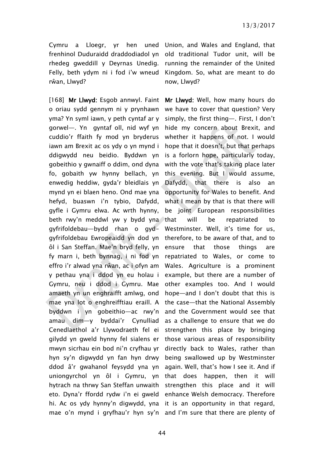rhedeg gweddill y Deyrnas Unedig. Felly, beth ydym ni i fod i'w wneud rŵan, Llwyd?

[168] Mr Llwyd: Esgob annwyl. Faint o oriau sydd gennym ni y prynhawn yma? Yn syml iawn, y peth cyntaf ar y gorwel—. Yn gyntaf oll, nid wyf yn cuddio'r ffaith fy mod yn bryderus iawn am Brexit ac os ydy o yn mynd i ddigwydd neu beidio. Byddwn yn gobeithio y gwnaiff o ddim, ond dyna fo, gobaith yw hynny bellach, yn enwedig heddiw, gyda'r bleidlais yn mynd yn ei blaen heno. Ond mae yna hefyd, buaswn i'n tybio, Dafydd, gyfle i Gymru elwa. Ac wrth hynny, beth rwy'n meddwl yw y bydd yna gyfrifoldebau—bydd rhan o gydgyfrifoldebau Ewropeaidd yn dod yn ôl i San Steffan. Mae'n bryd felly, yn fy marn i, beth bynnag, i ni fod yn effro i'r alwad yna rŵan, ac i ofyn am y pethau yna i ddod yn eu holau i Gymru, neu i ddod i Gymru. Mae amaeth yn un enghraifft amlwg, ond mae yna lot o enghreifftiau eraill. A byddwn i yn gobeithio—ac rwy'n amau dim—y byddai'r Cynulliad Cenedlaethol a'r Llywodraeth fel ei gilydd yn gweld hynny fel sialens er mwyn sicrhau ein bod ni'n cryfhau yr hyn sy'n digwydd yn fan hyn drwy ddod â'r gwahanol feysydd yna yn uniongyrchol yn ôl i Gymru, yn hytrach na thrwy San Steffan unwaith eto. Dyna'r ffordd rydw i'n ei gweld hi. Ac os ydy hynny'n digwydd, yna it is an opportunity in that regard, mae o'n mynd i gryfhau'r hyn sy'n and I'm sure that there are plenty of

Cymru a Lloegr, yr hen uned Union, and Wales and England, that frenhinol Duduraidd draddodiadol yn old traditional Tudor unit, will be running the remainder of the United Kingdom. So, what are meant to do now, Llwyd?

> Mr Llwyd: Well, how many hours do we have to cover that question? Very simply, the first thing—. First, I don't hide my concern about Brexit, and whether it happens of not. I would hope that it doesn't, but that perhaps is a forlorn hope, particularly today, with the vote that's taking place later this evening. But I would assume, Dafydd, that there is also an opportunity for Wales to benefit. And what I mean by that is that there will be joint European responsibilities will be repatriated to Westminster. Well, it's time for us, therefore, to be aware of that, and to ensure that those things are repatriated to Wales, or come to Wales. Agriculture is a prominent example, but there are a number of other examples too. And I would hope—and I don't doubt that this is the case—that the National Assembly and the Government would see that as a challenge to ensure that we do strengthen this place by bringing those various areas of responsibility directly back to Wales, rather than being swallowed up by Westminster again. Well, that's how I see it. And if that does happen, then it will strengthen this place and it will enhance Welsh democracy. Therefore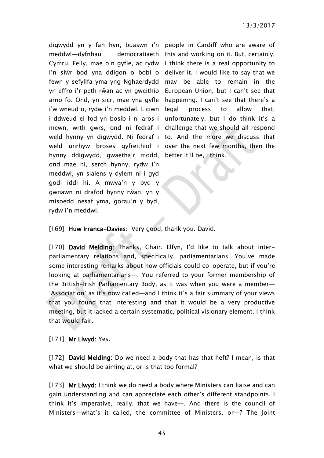digwydd yn y fan hyn, buaswn i'n people in Cardiff who are aware of meddwl—dyfnhau i'w wneud o, rydw i'n meddwl. Liciwn hynny ddigwydd, gwaetha'r modd, ond mae hi, serch hynny, rydw i'n meddwl, yn sialens y dylem ni i gyd godi iddi hi. A mwya'n y byd y gwnawn ni drafod hynny rŵan, yn y misoedd nesaf yma, gorau'n y byd, rydw i'n meddwl.

Cymru. Felly, mae o'n gyfle, ac rydw I think there is a real opportunity to i'n siŵr bod yna ddigon o bobl o deliver it. I would like to say that we fewn y sefyllfa yma yng Nghaerdydd may be able to remain in the yn effro i'r peth rŵan ac yn gweithio European Union, but I can't see that arno fo. Ond, yn sicr, mae yna gyfle happening. I can't see that there's a i ddweud ei fod yn bosib i ni aros i unfortunately, but I do think it's a mewn, wrth gwrs, ond ni fedraf i challenge that we should all respond weld hynny yn digwydd. Ni fedraf i to. And the more we discuss that weld unrhyw broses gyfreithiol i over the next few months, then the democratiaeth this and working on it. But, certainly, process to allow that, better it'll be, I think.

[169] Huw Irranca-Davies: Very good, thank you. David.

[170] David Melding: Thanks, Chair. Elfyn, I'd like to talk about interparliamentary relations and, specifically, parliamentarians. You've made some interesting remarks about how officials could co-operate, but if you're looking at parliamentarians—. You referred to your former membership of the British-Irish Parliamentary Body, as it was when you were a member— 'Association' as it's now called—and I think it's a fair summary of your views that you found that interesting and that it would be a very productive meeting, but it lacked a certain systematic, political visionary element. I think that would fair.

[171] **Mr Llwyd: Yes.** 

[172] David Melding: Do we need a body that has that heft? I mean, is that what we should be aiming at, or is that too formal?

[173] Mr Llwyd: I think we do need a body where Ministers can liaise and can gain understanding and can appreciate each other's different standpoints. I think it's imperative, really, that we have—. And there is the council of Ministers—what's it called, the committee of Ministers, or—? The Joint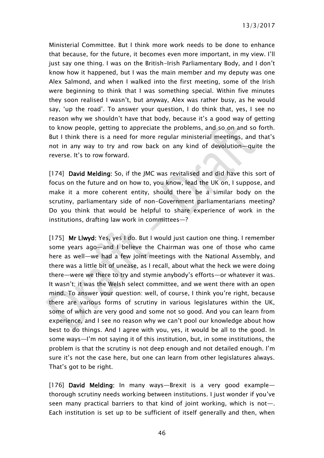13/3/2017

Ministerial Committee. But I think more work needs to be done to enhance that because, for the future, it becomes even more important, in my view. I'll just say one thing. I was on the British-Irish Parliamentary Body, and I don't know how it happened, but I was the main member and my deputy was one Alex Salmond, and when I walked into the first meeting, some of the Irish were beginning to think that I was something special. Within five minutes they soon realised I wasn't, but anyway, Alex was rather busy, as he would say, 'up the road'. To answer your question, I do think that, yes, I see no reason why we shouldn't have that body, because it's a good way of getting to know people, getting to appreciate the problems, and so on and so forth. But I think there is a need for more regular ministerial meetings, and that's not in any way to try and row back on any kind of devolution—quite the reverse. It's to row forward.

[174] David Melding: So, if the JMC was revitalised and did have this sort of focus on the future and on how to, you know, lead the UK on, I suppose, and make it a more coherent entity, should there be a similar body on the scrutiny, parliamentary side of non-Government parliamentarians meeting? Do you think that would be helpful to share experience of work in the institutions, drafting law work in committees—?

[175] Mr Llwyd: Yes, yes I do. But I would just caution one thing. I remember some years ago—and I believe the Chairman was one of those who came here as well—we had a few joint meetings with the National Assembly, and there was a little bit of unease, as I recall, about what the heck we were doing there—were we there to try and stymie anybody's efforts—or whatever it was. It wasn't; it was the Welsh select committee, and we went there with an open mind. To answer your question: well, of course, I think you're right, because there are various forms of scrutiny in various legislatures within the UK, some of which are very good and some not so good. And you can learn from experience, and I see no reason why we can't pool our knowledge about how best to do things. And I agree with you, yes, it would be all to the good. In some ways—I'm not saying it of this institution, but, in some institutions, the problem is that the scrutiny is not deep enough and not detailed enough. I'm sure it's not the case here, but one can learn from other legislatures always. That's got to be right.

[176] David Melding: In many ways—Brexit is a very good example thorough scrutiny needs working between institutions. I just wonder if you've seen many practical barriers to that kind of joint working, which is not—. Each institution is set up to be sufficient of itself generally and then, when

46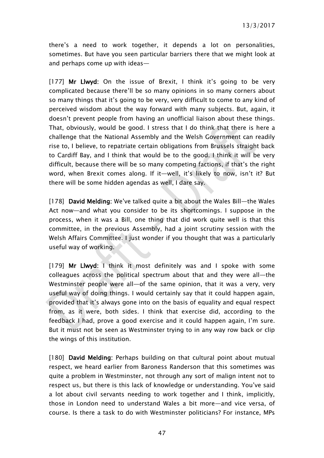there's a need to work together, it depends a lot on personalities, sometimes. But have you seen particular barriers there that we might look at and perhaps come up with ideas—

[177] Mr Llwyd: On the issue of Brexit, I think it's going to be very complicated because there'll be so many opinions in so many corners about so many things that it's going to be very, very difficult to come to any kind of perceived wisdom about the way forward with many subjects. But, again, it doesn't prevent people from having an unofficial liaison about these things. That, obviously, would be good. I stress that I do think that there is here a challenge that the National Assembly and the Welsh Government can readily rise to, I believe, to repatriate certain obligations from Brussels straight back to Cardiff Bay, and I think that would be to the good. I think it will be very difficult, because there will be so many competing factions, if that's the right word, when Brexit comes along. If it—well, it's likely to now, isn't it? But there will be some hidden agendas as well, I dare say.

[178] David Melding: We've talked quite a bit about the Wales Bill—the Wales Act now—and what you consider to be its shortcomings. I suppose in the process, when it was a Bill, one thing that did work quite well is that this committee, in the previous Assembly, had a joint scrutiny session with the Welsh Affairs Committee. I just wonder if you thought that was a particularly useful way of working.

[179] Mr Llwyd: I think it most definitely was and I spoke with some colleagues across the political spectrum about that and they were all—the Westminster people were all—of the same opinion, that it was a very, very useful way of doing things. I would certainly say that it could happen again, provided that it's always gone into on the basis of equality and equal respect from, as it were, both sides. I think that exercise did, according to the feedback I had, prove a good exercise and it could happen again, I'm sure. But it must not be seen as Westminster trying to in any way row back or clip the wings of this institution.

[180] David Melding: Perhaps building on that cultural point about mutual respect, we heard earlier from Baroness Randerson that this sometimes was quite a problem in Westminster, not through any sort of malign intent not to respect us, but there is this lack of knowledge or understanding. You've said a lot about civil servants needing to work together and I think, implicitly, those in London need to understand Wales a bit more—and vice versa, of course. Is there a task to do with Westminster politicians? For instance, MPs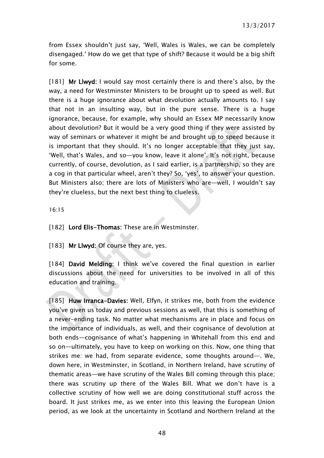from Essex shouldn't just say, 'Well, Wales is Wales, we can be completely disengaged.' How do we get that type of shift? Because it would be a big shift for some.

[181] Mr Llwyd: I would say most certainly there is and there's also, by the way, a need for Westminster Ministers to be brought up to speed as well. But there is a huge ignorance about what devolution actually amounts to. I say that not in an insulting way, but in the pure sense. There is a huge ignorance, because, for example, why should an Essex MP necessarily know about devolution? But it would be a very good thing if they were assisted by way of seminars or whatever it might be and brought up to speed because it is important that they should. It's no longer acceptable that they just say, 'Well, that's Wales, and so—you know, leave it alone'. It's not right, because currently, of course, devolution, as I said earlier, is a partnership, so they are a cog in that particular wheel, aren't they? So, 'yes', to answer your question. But Ministers also; there are lots of Ministers who are—well, I wouldn't say they're clueless, but the next best thing to clueless.

16:15

[182] Lord Elis-Thomas: These are in Westminster.

[183] Mr Llwyd: Of course they are, yes.

[184] David Melding: I think we've covered the final question in earlier discussions about the need for universities to be involved in all of this education and training.

[185] Huw Irranca-Davies: Well, Elfyn, it strikes me, both from the evidence you've given us today and previous sessions as well, that this is something of a never-ending task. No matter what mechanisms are in place and focus on the importance of individuals, as well, and their cognisance of devolution at both ends—cognisance of what's happening in Whitehall from this end and so on—ultimately, you have to keep on working on this. Now, one thing that strikes me: we had, from separate evidence, some thoughts around—. We, down here, in Westminster, in Scotland, in Northern Ireland, have scrutiny of thematic areas—we have scrutiny of the Wales Bill coming through this place; there was scrutiny up there of the Wales Bill. What we don't have is a collective scrutiny of how well we are doing constitutional stuff across the board. It just strikes me, as we enter into this leaving the European Union period, as we look at the uncertainty in Scotland and Northern Ireland at the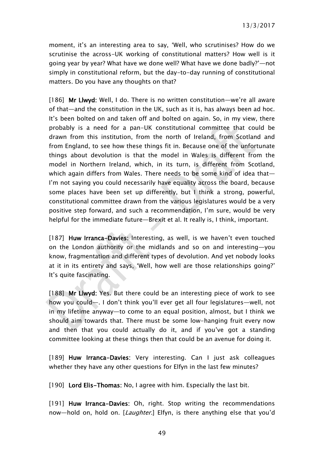moment, it's an interesting area to say, 'Well, who scrutinises? How do we scrutinise the across-UK working of constitutional matters? How well is it going year by year? What have we done well? What have we done badly?'—not simply in constitutional reform, but the day-to-day running of constitutional matters. Do you have any thoughts on that?

[186] Mr Llwyd: Well, I do. There is no written constitution—we're all aware of that—and the constitution in the UK, such as it is, has always been ad hoc. It's been bolted on and taken off and bolted on again. So, in my view, there probably is a need for a pan-UK constitutional committee that could be drawn from this institution, from the north of Ireland, from Scotland and from England, to see how these things fit in. Because one of the unfortunate things about devolution is that the model in Wales is different from the model in Northern Ireland, which, in its turn, is different from Scotland, which again differs from Wales. There needs to be some kind of idea that— I'm not saying you could necessarily have equality across the board, because some places have been set up differently, but I think a strong, powerful, constitutional committee drawn from the various legislatures would be a very positive step forward, and such a recommendation, I'm sure, would be very helpful for the immediate future—Brexit et al. It really is, I think, important.

[187] Huw Irranca-Davies: Interesting, as well, is we haven't even touched on the London authority or the midlands and so on and interesting—you know, fragmentation and different types of devolution. And yet nobody looks at it in its entirety and says, 'Well, how well are those relationships going?' It's quite fascinating.

[188] Mr Llwyd: Yes. But there could be an interesting piece of work to see how you could—. I don't think you'll ever get all four legislatures—well, not in my lifetime anyway—to come to an equal position, almost, but I think we should aim towards that. There must be some low-hanging fruit every now and then that you could actually do it, and if you've got a standing committee looking at these things then that could be an avenue for doing it.

[189] Huw Irranca-Davies: Very interesting. Can I just ask colleagues whether they have any other questions for Elfyn in the last few minutes?

[190] Lord Elis-Thomas: No, I agree with him. Especially the last bit.

[191] Huw Irranca-Davies: Oh, right. Stop writing the recommendations now—hold on, hold on. [Laughter.] Elfyn, is there anything else that you'd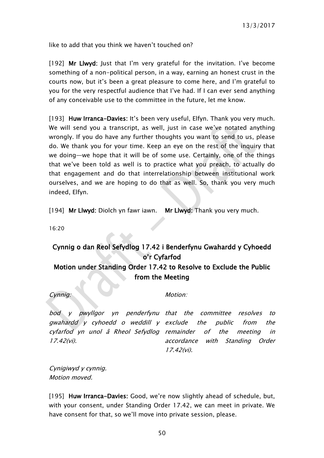like to add that you think we haven't touched on?

[192] Mr Llwyd: Just that I'm very grateful for the invitation. I've become something of a non-political person, in a way, earning an honest crust in the courts now, but it's been a great pleasure to come here, and I'm grateful to you for the very respectful audience that I've had. If I can ever send anything of any conceivable use to the committee in the future, let me know.

[193] Huw Irranca-Davies: It's been very useful, Elfyn. Thank you very much. We will send you a transcript, as well, just in case we've notated anything wrongly. If you do have any further thoughts you want to send to us, please do. We thank you for your time. Keep an eye on the rest of the inquiry that we doing—we hope that it will be of some use. Certainly, one of the things that we've been told as well is to practice what you preach, to actually do that engagement and do that interrelationship between institutional work ourselves, and we are hoping to do that as well. So, thank you very much indeed, Elfyn.

[194] Mr Llwyd: Diolch yn fawr iawn. Mr Llwyd: Thank you very much.

16:20

### <span id="page-49-0"></span>Cynnig o dan Reol Sefydlog 17.42 i Benderfynu Gwahardd y Cyhoedd o'r Cyfarfod Motion under Standing Order 17.42 to Resolve to Exclude the Public from the Meeting

Cynnig: Motion:

bod y pwyllgor yn penderfynu that the committee resolves to gwahardd y cyhoedd o weddill y exclude the public from the cyfarfod yn unol â Rheol Sefydlog remainder of the meeting in 17.42(vi).

accordance with Standing Order 17.42(vi).

Cynigiwyd y cynnig. Motion moved.

[195] Huw Irranca-Davies: Good, we're now slightly ahead of schedule, but, with your consent, under Standing Order 17.42, we can meet in private. We have consent for that, so we'll move into private session, please.